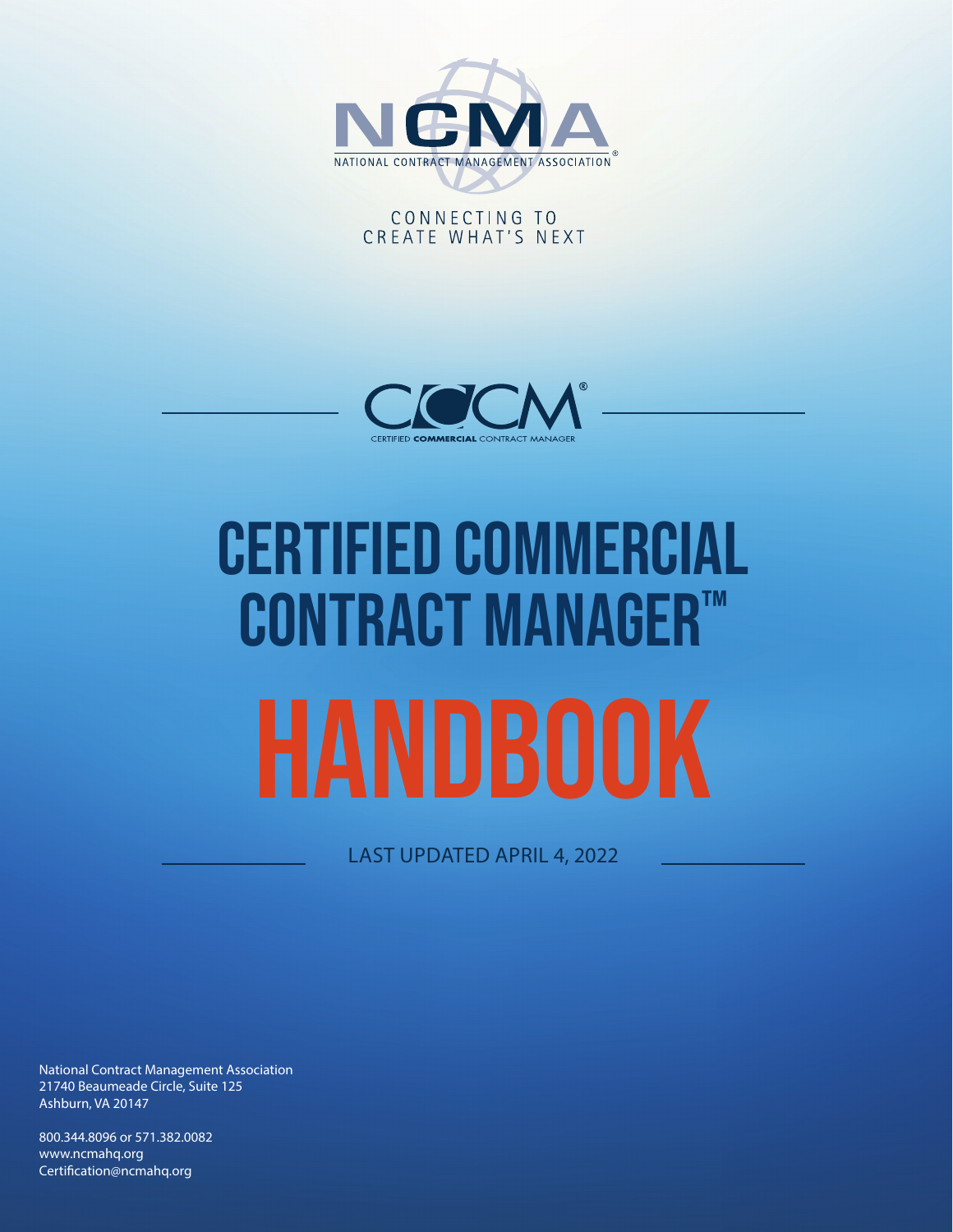

## CONNECTING TO CREATE WHAT'S NEXT



# Certified COMMERCIAL CONTRACT MANAGER™

LAST UPDATED APRIL 4, 2022

National Contract Management Association 21740 Beaumeade Circle, Suite 125 Ashburn, VA 20147

800.344.8096 or 571.382.0082 www.ncmahq.org Certification@ncmahq.org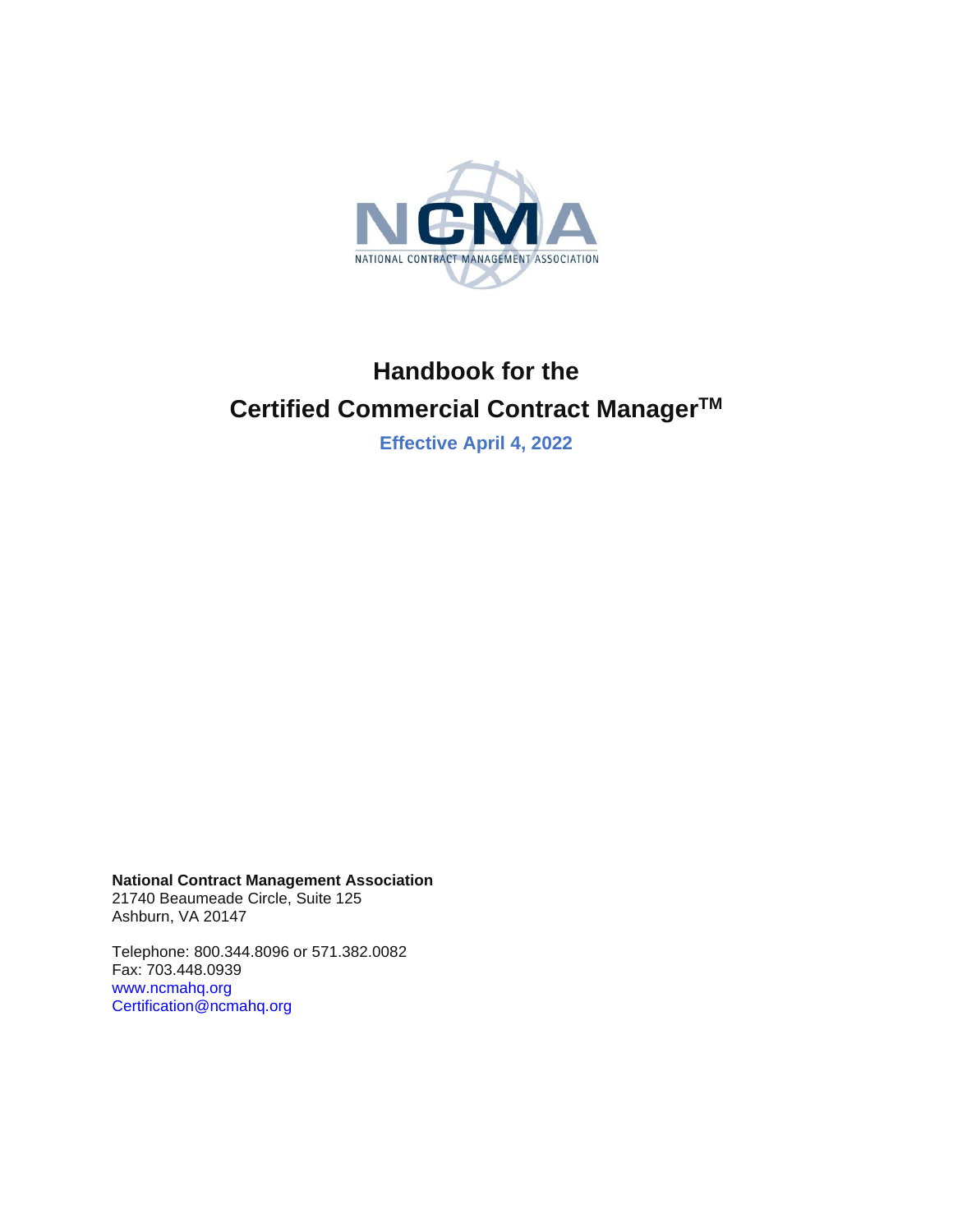

# **Handbook for the Certified Commercial Contract Manager TM**

**Effective April 4, 2022**

**National Contract Management Association**

21740 Beaumeade Circle, Suite 125 Ashburn, VA 20147

Telephone: 800.344.8096 or 571.382.0082 Fax: 703.448.0939 [www.ncmahq.org](http://www.ncmahq.org/) [Certification@ncmahq.org](mailto:Certification@ncmahq.org)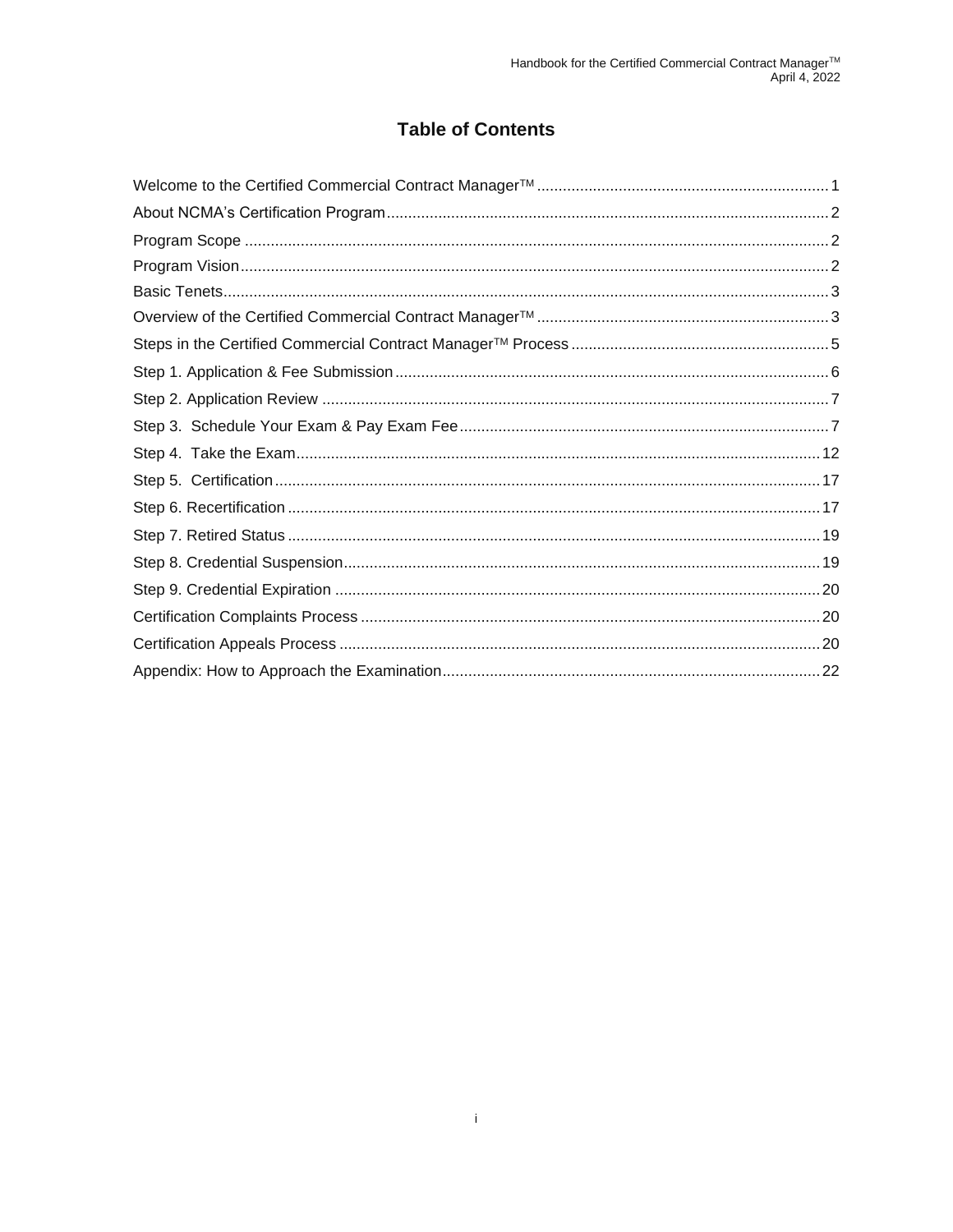## **Table of Contents**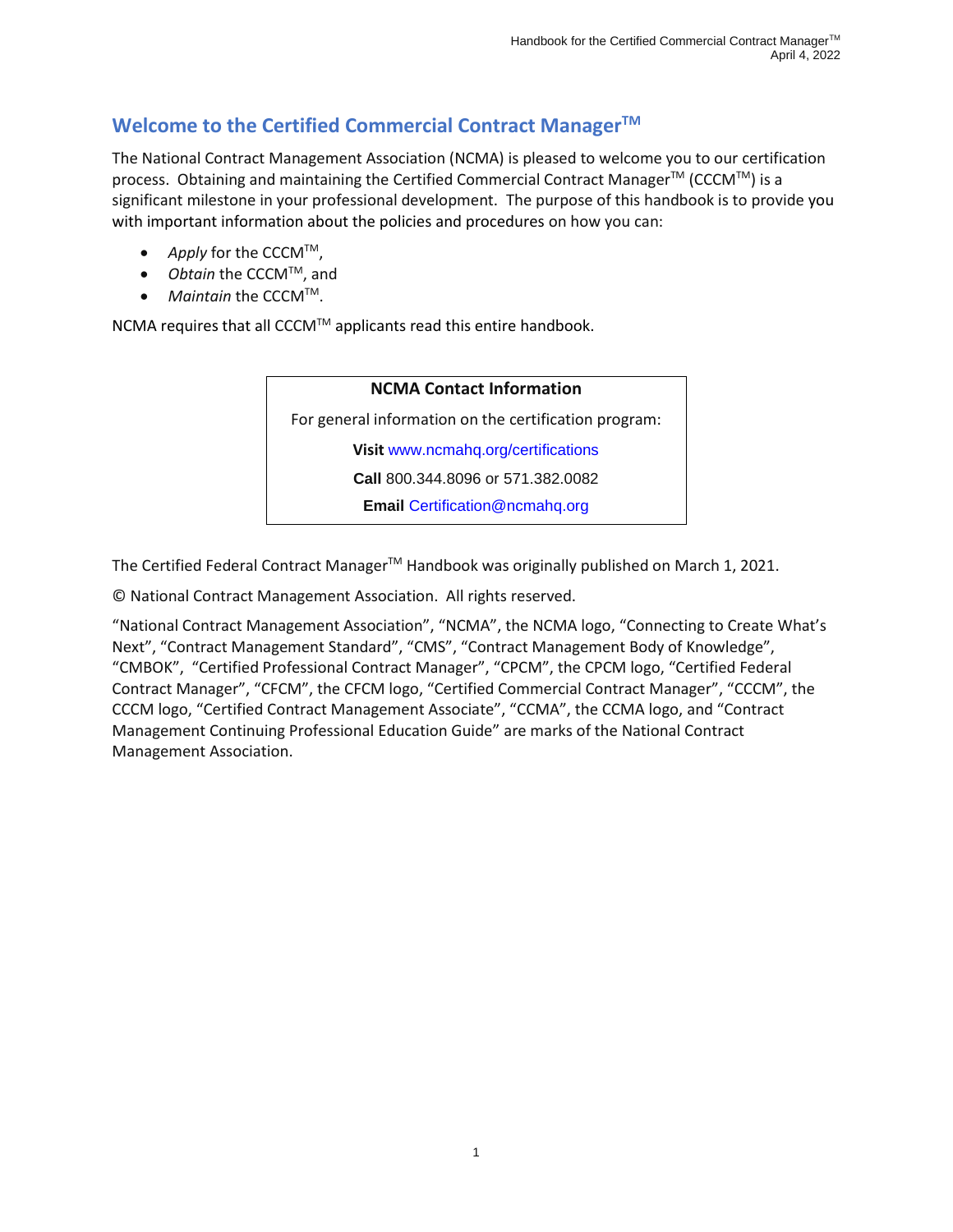# <span id="page-3-0"></span>**Welcome to the Certified Commercial Contract Manager TM**

The National Contract Management Association (NCMA) is pleased to welcome you to our certification process. Obtaining and maintaining the Certified Commercial Contract Manager™ (CCCM™) is a significant milestone in your professional development. The purpose of this handbook is to provide you with important information about the policies and procedures on how you can:

- *Apply* for the CCCM™,
- *Obtain* the CCCM<sup>™</sup>, and
- *Maintain* the CCCMTM.

NCMA requires that all CCCM™ applicants read this entire handbook.

# **NCMA Contact Information** For general information on the certification program: **Visit** [www.ncmahq.org/certifications](https://www.ncmahq.org/certifications) **Call** 800.344.8096 or 571.382.0082 **Email** [Certification@ncmahq.org](mailto:Certification@ncmahq.org)

The Certified Federal Contract Manager<sup>™</sup> Handbook was originally published on March 1, 2021.

© National Contract Management Association. All rights reserved.

"National Contract Management Association", "NCMA", the NCMA logo, "Connecting to Create What's Next", "Contract Management Standard", "CMS", "Contract Management Body of Knowledge", "CMBOK", "Certified Professional Contract Manager", "CPCM", the CPCM logo, "Certified Federal Contract Manager", "CFCM", the CFCM logo, "Certified Commercial Contract Manager", "CCCM", the CCCM logo, "Certified Contract Management Associate", "CCMA", the CCMA logo, and "Contract Management Continuing Professional Education Guide" are marks of the National Contract Management Association.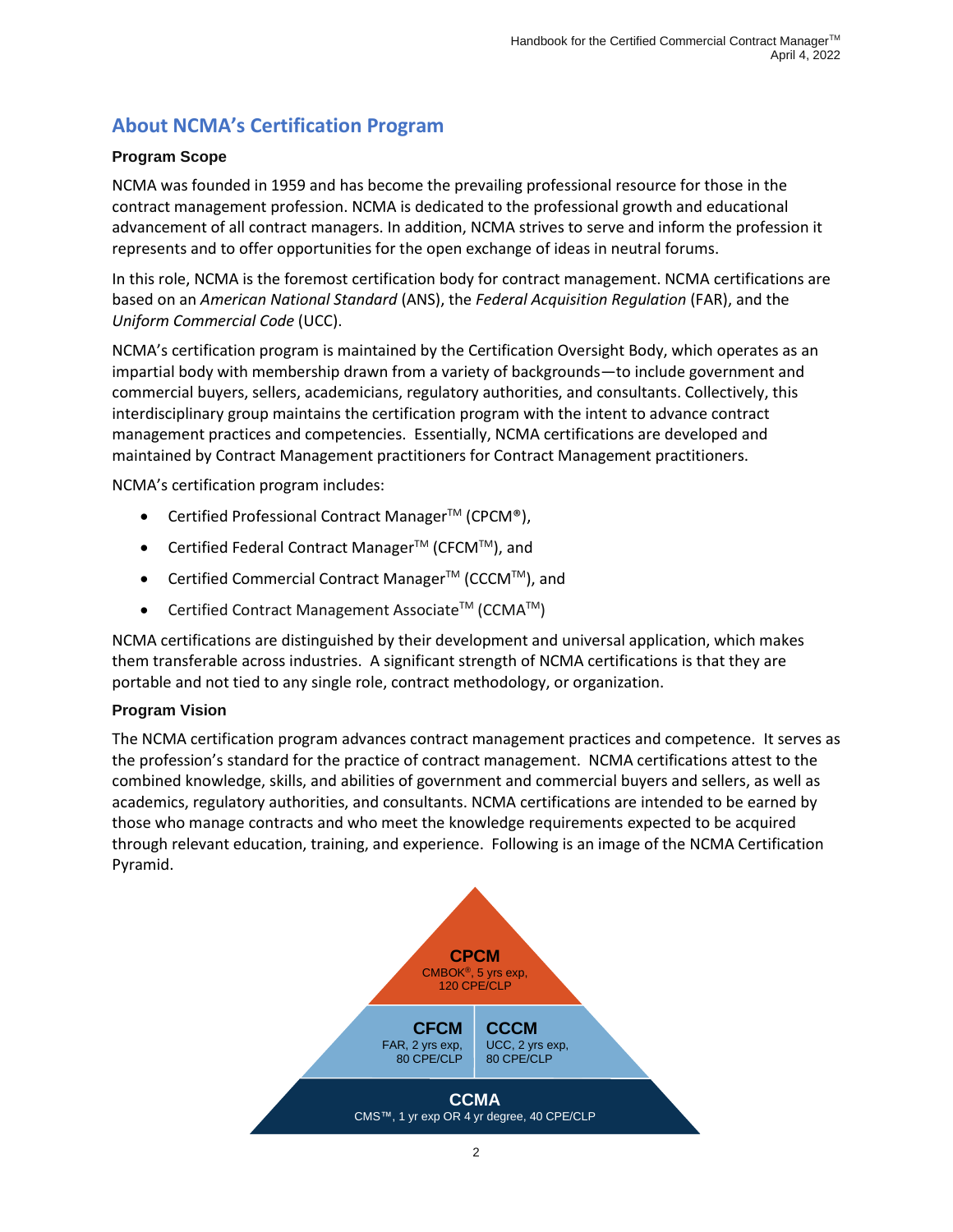# <span id="page-4-0"></span>**About NCMA's Certification Program**

#### <span id="page-4-1"></span>**Program Scope**

NCMA was founded in 1959 and has become the prevailing professional resource for those in the contract management profession. NCMA is dedicated to the professional growth and educational advancement of all contract managers. In addition, NCMA strives to serve and inform the profession it represents and to offer opportunities for the open exchange of ideas in neutral forums.

In this role, NCMA is the foremost certification body for contract management. NCMA certifications are based on an *American National Standard* (ANS), the *Federal Acquisition Regulation* (FAR), and the *Uniform Commercial Code* (UCC).

NCMA's certification program is maintained by the Certification Oversight Body, which operates as an impartial body with membership drawn from a variety of backgrounds—to include government and commercial buyers, sellers, academicians, regulatory authorities, and consultants. Collectively, this interdisciplinary group maintains the certification program with the intent to advance contract management practices and competencies. Essentially, NCMA certifications are developed and maintained by Contract Management practitioners for Contract Management practitioners.

NCMA's certification program includes:

- Certified Professional Contract Manager<sup>™</sup> (CPCM®),
- Certified Federal Contract Manager<sup>TM</sup> (CFCM<sup>TM</sup>), and
- Certified Commercial Contract Manager™ (CCCM™), and
- Certified Contract Management Associate<sup>TM</sup> (CCMA<sup>TM</sup>)

NCMA certifications are distinguished by their development and universal application, which makes them transferable across industries. A significant strength of NCMA certifications is that they are portable and not tied to any single role, contract methodology, or organization.

#### <span id="page-4-2"></span>**Program Vision**

The NCMA certification program advances contract management practices and competence. It serves as the profession's standard for the practice of contract management. NCMA certifications attest to the combined knowledge, skills, and abilities of government and commercial buyers and sellers, as well as academics, regulatory authorities, and consultants. NCMA certifications are intended to be earned by those who manage contracts and who meet the knowledge requirements expected to be acquired through relevant education, training, and experience. Following is an image of the NCMA Certification Pyramid.

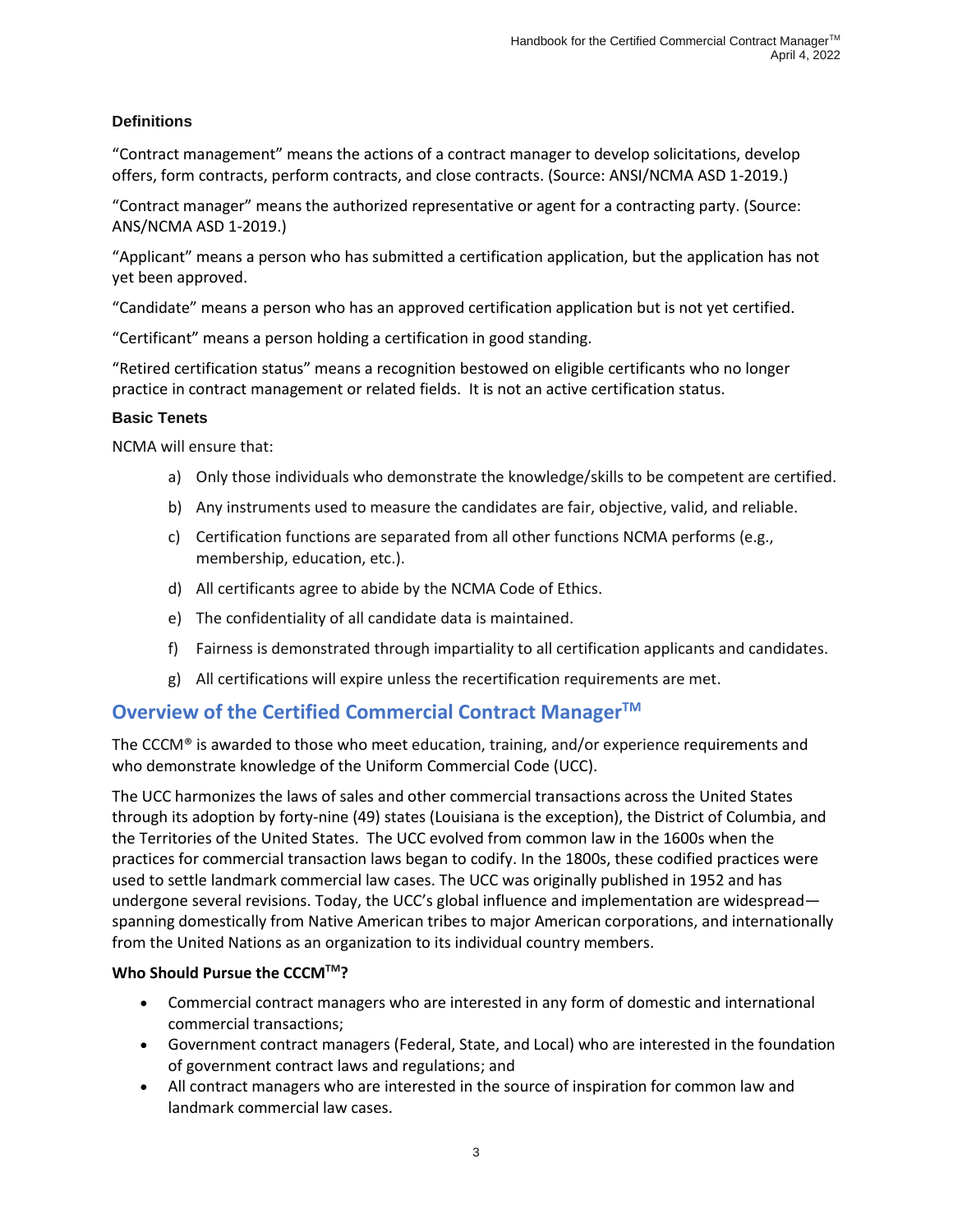## **Definitions**

"Contract management" means the actions of a contract manager to develop solicitations, develop offers, form contracts, perform contracts, and close contracts. (Source: ANSI/NCMA ASD 1-2019.)

"Contract manager" means the authorized representative or agent for a contracting party. (Source: ANS/NCMA ASD 1-2019.)

"Applicant" means a person who has submitted a certification application, but the application has not yet been approved.

"Candidate" means a person who has an approved certification application but is not yet certified.

"Certificant" means a person holding a certification in good standing.

"Retired certification status" means a recognition bestowed on eligible certificants who no longer practice in contract management or related fields. It is not an active certification status.

#### <span id="page-5-0"></span>**Basic Tenets**

NCMA will ensure that:

- a) Only those individuals who demonstrate the knowledge/skills to be competent are certified.
- b) Any instruments used to measure the candidates are fair, objective, valid, and reliable.
- c) Certification functions are separated from all other functions NCMA performs (e.g., membership, education, etc.).
- d) All certificants agree to abide by the NCMA Code of Ethics.
- e) The confidentiality of all candidate data is maintained.
- f) Fairness is demonstrated through impartiality to all certification applicants and candidates.
- g) All certifications will expire unless the recertification requirements are met.

# <span id="page-5-1"></span>**Overview of the Certified Commercial Contract Manager TM**

The CCCM® is awarded to those who meet education, training, and/or experience requirements and who demonstrate knowledge of the Uniform Commercial Code (UCC).

The UCC harmonizes the laws of [sales](https://en.wikipedia.org/wiki/Sales) and other commercial transactions across the United States through [its adoption](https://en.wikipedia.org/wiki/Uniform_Commercial_Code_adoption) by forty-nine (49) states (Louisiana is the exception), th[e District of Columbia,](https://en.wikipedia.org/wiki/District_of_Columbia) and th[e Territories of the United States.](https://en.wikipedia.org/wiki/Territories_of_the_United_States) The [UCC](https://www.law.cornell.edu/ucc/index.html) evolved from common law in the 1600s when the practices for commercial transaction laws began to codify. In the 1800s, these codified practices were used to settle landmark commercial law cases. The UCC was originally published in 1952 and has undergone several revisions. Today, the UCC's global influence and implementation are widespread spanning domestically from Native American tribes to major American corporations, and internationally from the United Nations as an organization to its individual country members.

## **Who Should Pursue the CCCMTM?**

- Commercial contract managers who are interested in any form of domestic and international commercial transactions;
- Government contract managers (Federal, State, and Local) who are interested in the foundation of government contract laws and regulations; and
- All contract managers who are interested in the source of inspiration for common law and landmark commercial law cases.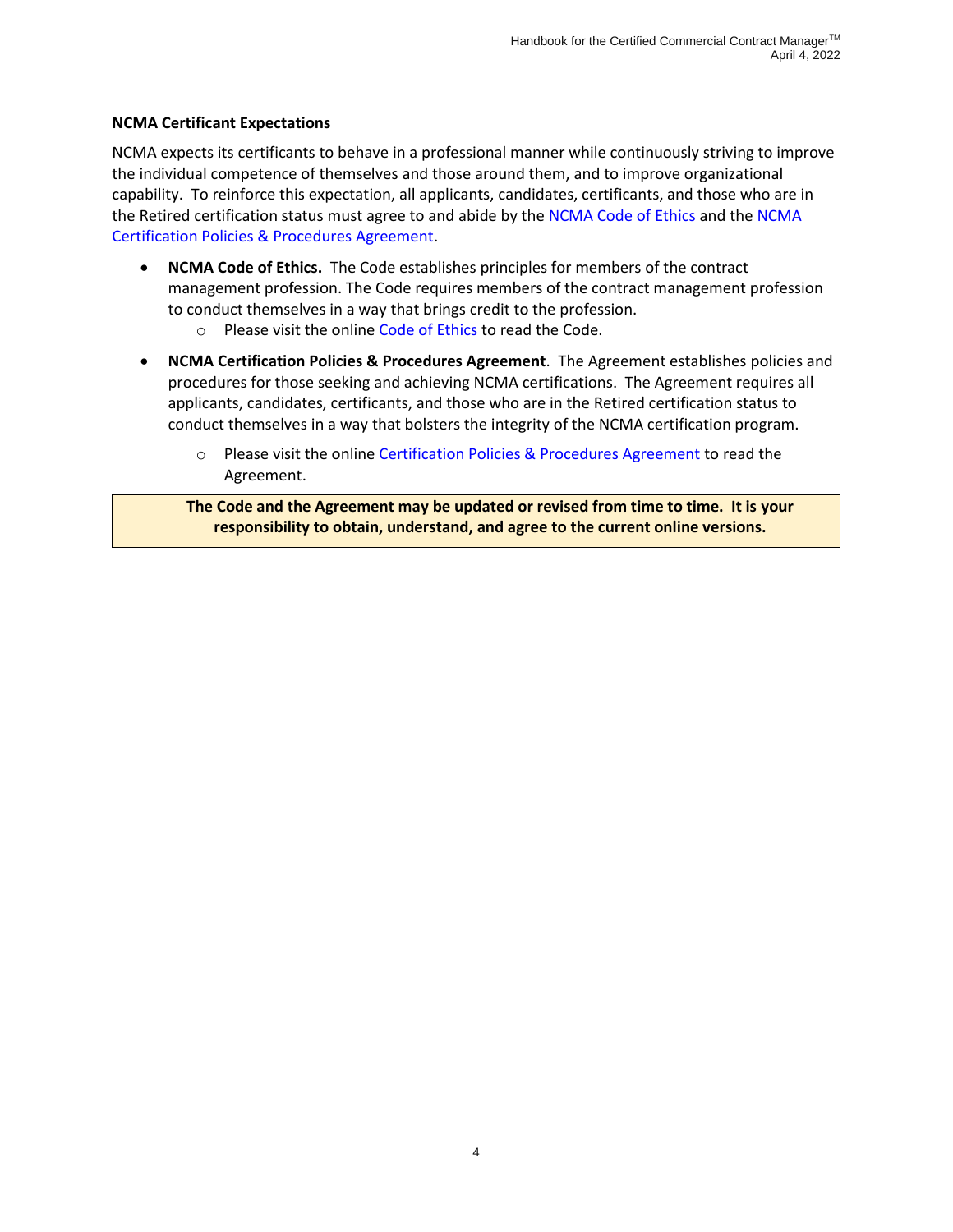#### **NCMA Certificant Expectations**

NCMA expects its certificants to behave in a professional manner while continuously striving to improve the individual competence of themselves and those around them, and to improve organizational capability. To reinforce this expectation, all applicants, candidates, certificants, and those who are in the Retired certification status must agree to and abide by th[e NCMA Code of Ethics](https://www.ncmahq.org/Web/About/Leadership/Code-of-Ethics/Web/About/Leadership/Code-of-Ethics.aspx?hkey=b4fda743-1ea3-428d-a139-a51be5994134) and th[e NCMA](https://www.ncmahq.org/Web/Certification/Certification-Policies-and-Procedures-Agreement/Web/Certification/Certification-Policies-and-Procedures-Agreement.aspx?hkey=aa46c8c3-7eb0-40b3-9175-9b654b87c7b0)  [Certification Policies & Procedures Agreement.](https://www.ncmahq.org/Web/Certification/Certification-Policies-and-Procedures-Agreement/Web/Certification/Certification-Policies-and-Procedures-Agreement.aspx?hkey=aa46c8c3-7eb0-40b3-9175-9b654b87c7b0)

- **NCMA Code of Ethics.** The Code establishes principles for members of the contract management profession. The Code requires members of the contract management profession to conduct themselves in a way that brings credit to the profession.
	- o Please visit the online [Code of Ethics](https://www.ncmahq.org/Web/About/Leadership/Code-of-Ethics/Web/About/Leadership/Code-of-Ethics.aspx?hkey=b4fda743-1ea3-428d-a139-a51be5994134) to read the Code.
- **NCMA Certification Policies & Procedures Agreement**. The Agreement establishes policies and procedures for those seeking and achieving NCMA certifications. The Agreement requires all applicants, candidates, certificants, and those who are in the Retired certification status to conduct themselves in a way that bolsters the integrity of the NCMA certification program.
	- o Please visit the online [Certification Policies & Procedures Agreement](https://www.ncmahq.org/Web/Certification/Certification-Policies-and-Procedures-Agreement/Web/Certification/Certification-Policies-and-Procedures-Agreement.aspx?hkey=aa46c8c3-7eb0-40b3-9175-9b654b87c7b0) to read the Agreement.

**The Code and the Agreement may be updated or revised from time to time. It is your responsibility to obtain, understand, and agree to the current online versions.**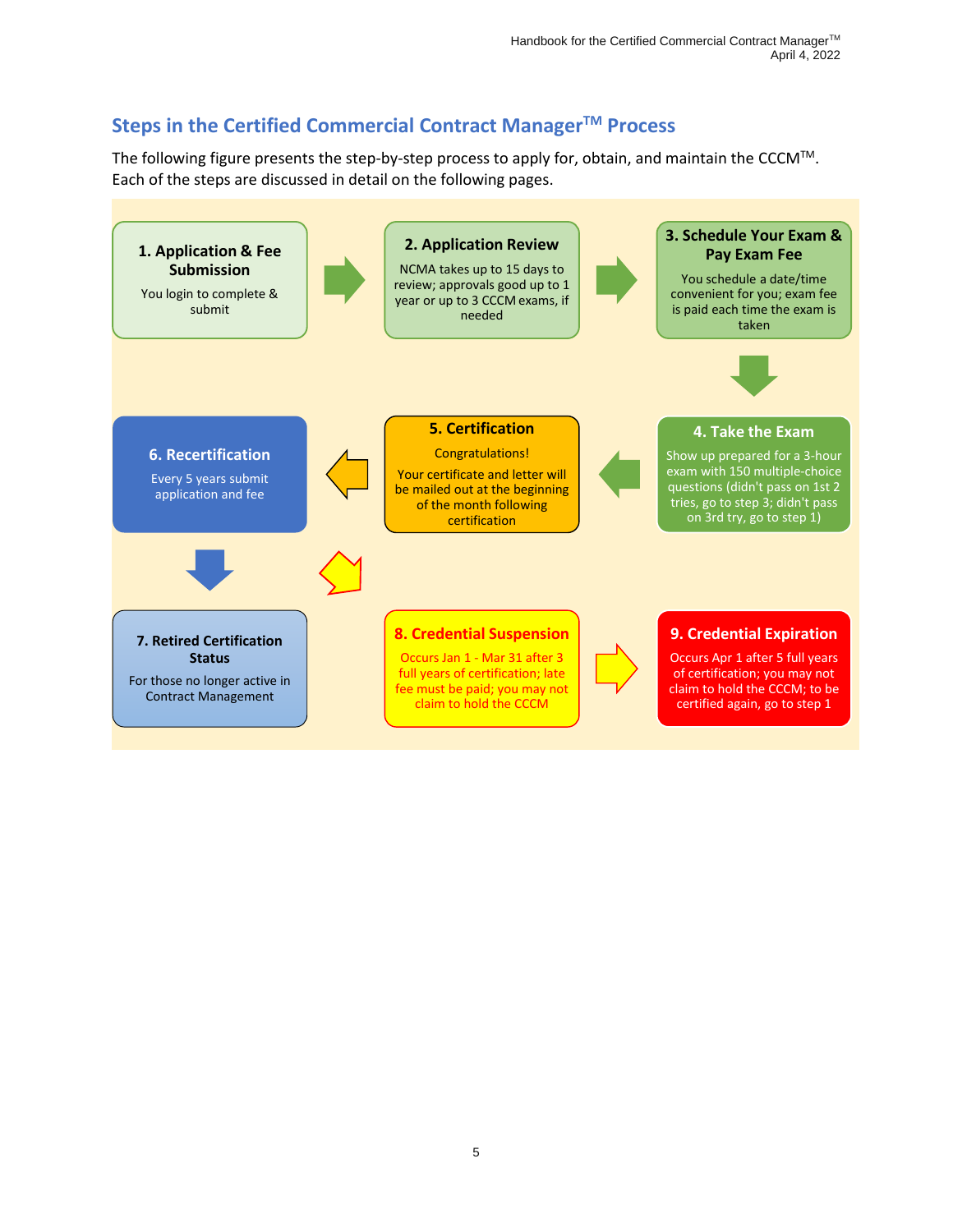# <span id="page-7-0"></span>**Steps in the Certified Commercial Contract Manager TM Process**

The following figure presents the step-by-step process to apply for, obtain, and maintain the CCCM™. Each of the steps are discussed in detail on the following pages.

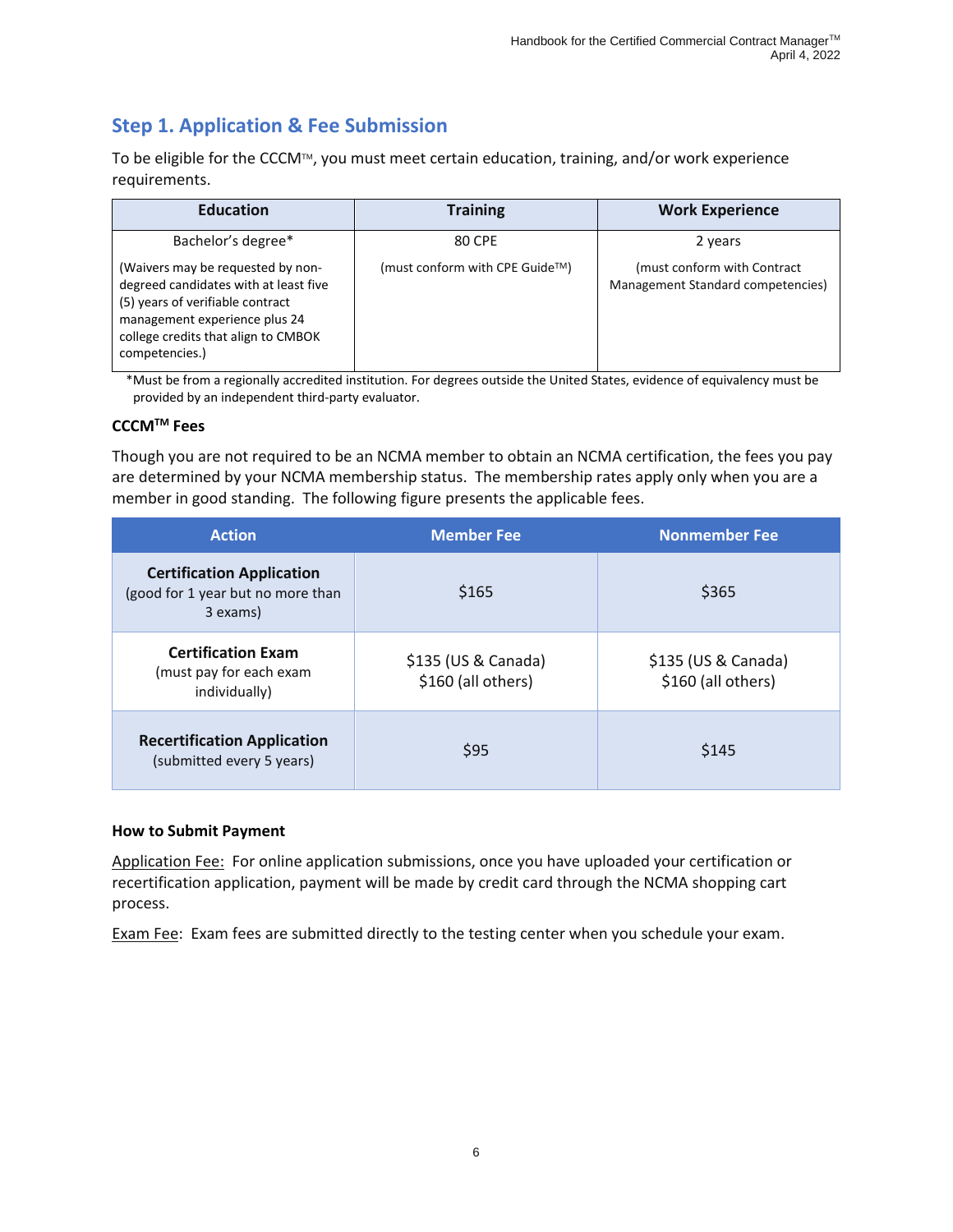# <span id="page-8-0"></span>**Step 1. Application & Fee Submission**

To be eligible for the CCCM™, you must meet certain education, training, and/or work experience requirements.

| <b>Education</b>                                                                                                                                                                                         | <b>Training</b>                              | <b>Work Experience</b>                                            |
|----------------------------------------------------------------------------------------------------------------------------------------------------------------------------------------------------------|----------------------------------------------|-------------------------------------------------------------------|
| Bachelor's degree*                                                                                                                                                                                       | 80 CPE                                       | 2 years                                                           |
| (Waivers may be requested by non-<br>degreed candidates with at least five<br>(5) years of verifiable contract<br>management experience plus 24<br>college credits that align to CMBOK<br>competencies.) | (must conform with CPE Guide <sup>TM</sup> ) | (must conform with Contract)<br>Management Standard competencies) |

\*Must be from a regionally accredited institution. For degrees outside the United States, evidence of equivalency must be provided by an independent third-party evaluator.

#### **CCCMTM Fees**

Though you are not required to be an NCMA member to obtain an NCMA certification, the fees you pay are determined by your NCMA membership status. The membership rates apply only when you are a member in good standing. The following figure presents the applicable fees.

| <b>Action</b>                                                                     | <b>Member Fee</b>                         | <b>Nonmember Fee</b>                      |
|-----------------------------------------------------------------------------------|-------------------------------------------|-------------------------------------------|
| <b>Certification Application</b><br>(good for 1 year but no more than<br>3 exams) | \$165                                     | \$365                                     |
| <b>Certification Exam</b><br>(must pay for each exam<br>individually)             | \$135 (US & Canada)<br>\$160 (all others) | \$135 (US & Canada)<br>\$160 (all others) |
| <b>Recertification Application</b><br>(submitted every 5 years)                   | \$95                                      | \$145                                     |

#### **How to Submit Payment**

Application Fee: For online application submissions, once you have uploaded your certification or recertification application, payment will be made by credit card through the NCMA shopping cart process.

Exam Fee: Exam fees are submitted directly to the testing center when you schedule your exam.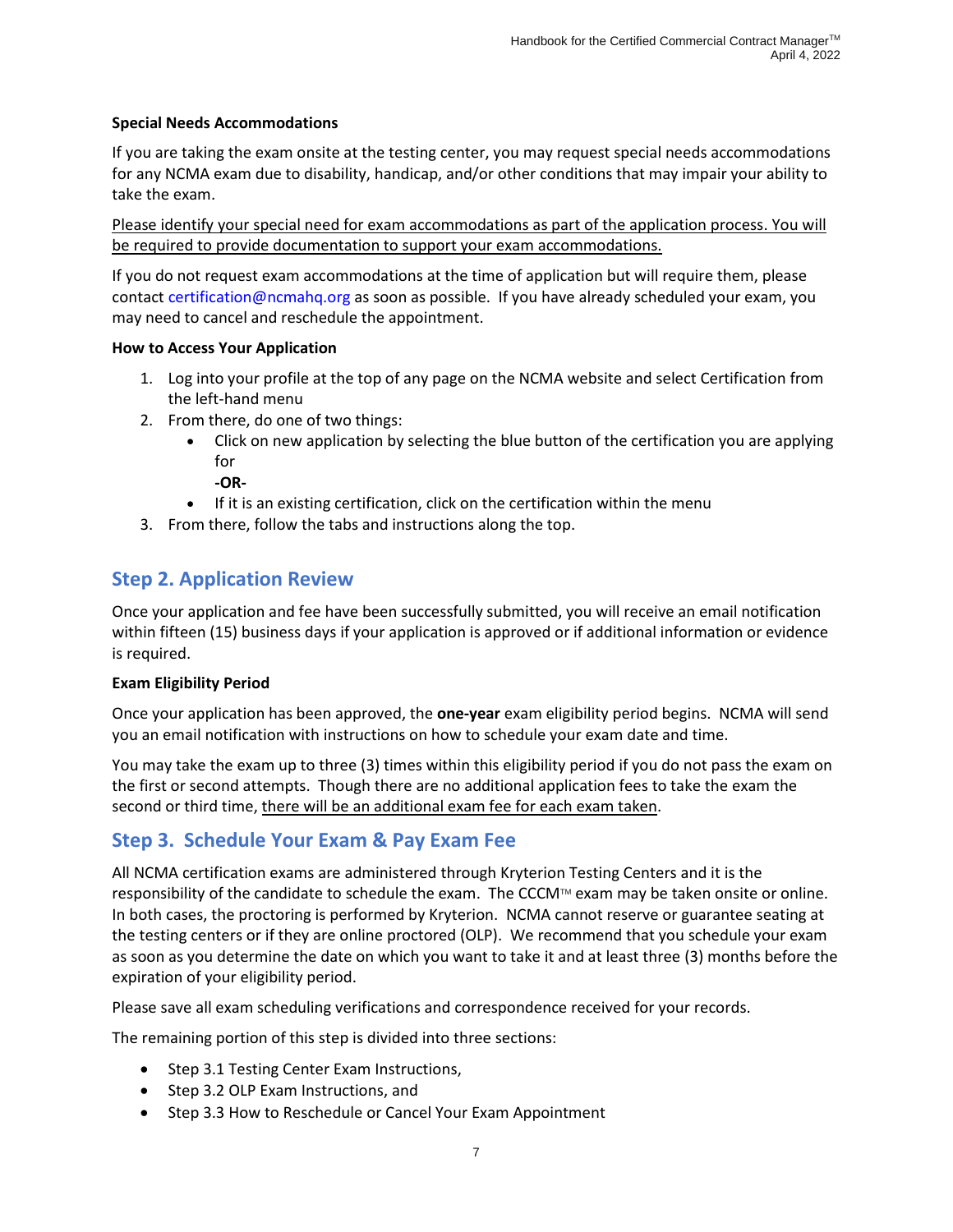#### **Special Needs Accommodations**

If you are taking the exam onsite at the testing center, you may request special needs accommodations for any NCMA exam due to disability, handicap, and/or other conditions that may impair your ability to take the exam.

Please identify your special need for exam accommodations as part of the application process. You will be required to provide documentation to support your exam accommodations.

If you do not request exam accommodations at the time of application but will require them, please contact [certification@ncmahq.org](mailto:certification@ncmahq.org) as soon as possible. If you have already scheduled your exam, you may need to cancel and reschedule the appointment.

#### **How to Access Your Application**

- 1. Log into your profile at the top of any page on the NCMA website and select Certification from the left-hand menu
- 2. From there, do one of two things:
	- Click on new application by selecting the blue button of the certification you are applying for
		- **-OR-**
	- If it is an existing certification, click on the certification within the menu
- 3. From there, follow the tabs and instructions along the top.

# <span id="page-9-0"></span>**Step 2. Application Review**

Once your application and fee have been successfully submitted, you will receive an email notification within fifteen (15) business days if your application is approved or if additional information or evidence is required.

#### **Exam Eligibility Period**

Once your application has been approved, the **one-year** exam eligibility period begins. NCMA will send you an email notification with instructions on how to schedule your exam date and time.

You may take the exam up to three (3) times within this eligibility period if you do not pass the exam on the first or second attempts. Though there are no additional application fees to take the exam the second or third time, there will be an additional exam fee for each exam taken.

# <span id="page-9-1"></span>**Step 3. Schedule Your Exam & Pay Exam Fee**

All NCMA certification exams are administered through Kryterion Testing Centers and it is the responsibility of the candidate to schedule the exam. The CCCM™ exam may be taken onsite or online. In both cases, the proctoring is performed by Kryterion. NCMA cannot reserve or guarantee seating at the testing centers or if they are online proctored (OLP). We recommend that you schedule your exam as soon as you determine the date on which you want to take it and at least three (3) months before the expiration of your eligibility period.

Please save all exam scheduling verifications and correspondence received for your records.

The remaining portion of this step is divided into three sections:

- Step 3.1 Testing Center Exam Instructions,
- Step 3.2 OLP Exam Instructions, and
- Step 3.3 How to Reschedule or Cancel Your Exam Appointment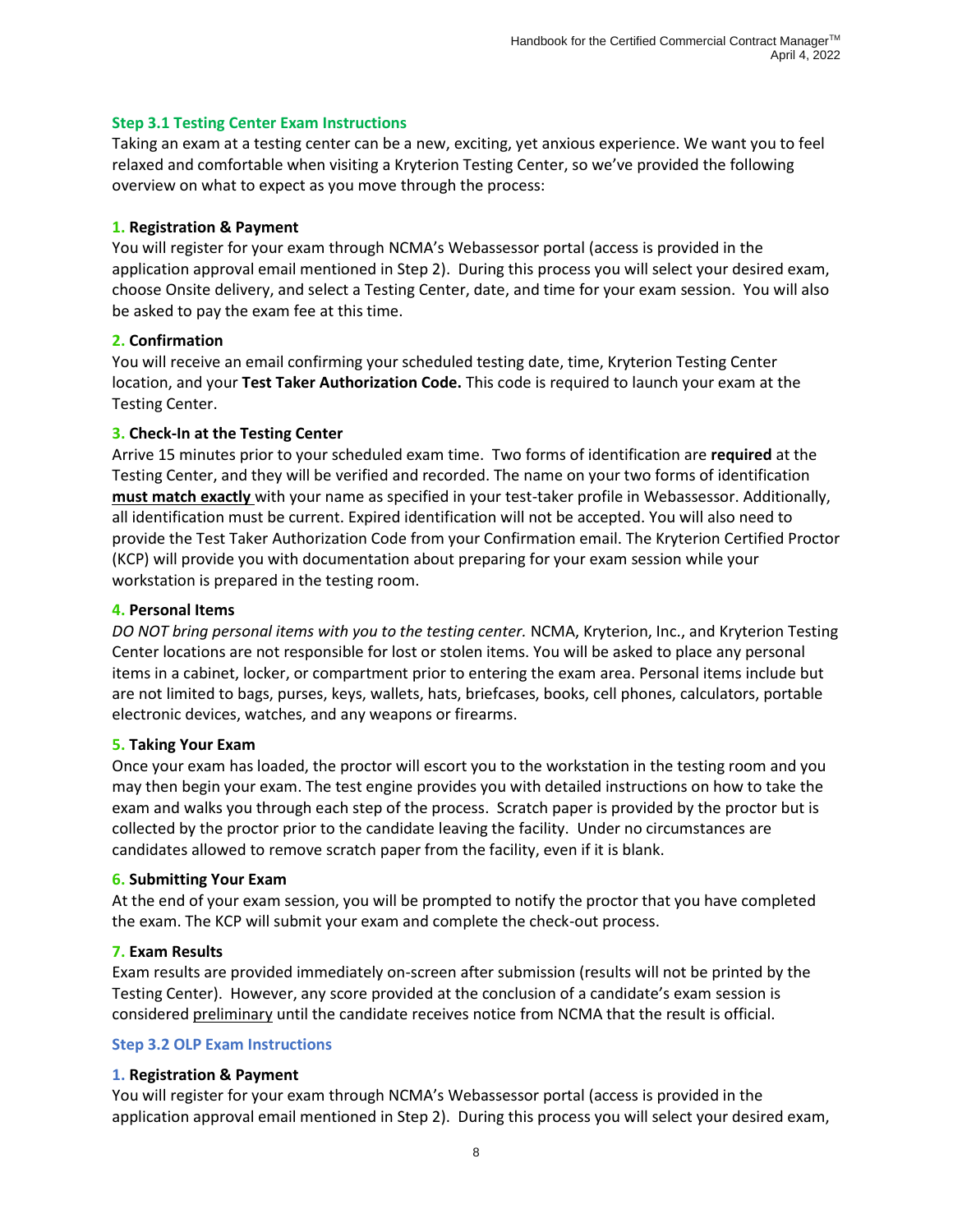#### **Step 3.1 Testing Center Exam Instructions**

Taking an exam at a testing center can be a new, exciting, yet anxious experience. We want you to feel relaxed and comfortable when visiting a Kryterion Testing Center, so we've provided the following overview on what to expect as you move through the process:

#### **1. Registration & Payment**

You will register for your exam through NCMA's Webassessor portal (access is provided in the application approval email mentioned in Step 2). During this process you will select your desired exam, choose Onsite delivery, and select a Testing Center, date, and time for your exam session. You will also be asked to pay the exam fee at this time.

#### **2. Confirmation**

You will receive an email confirming your scheduled testing date, time, Kryterion Testing Center location, and your **Test Taker Authorization Code.** This code is required to launch your exam at the Testing Center.

#### **3. Check-In at the Testing Center**

Arrive 15 minutes prior to your scheduled exam time. Two forms of identification are **required** at the Testing Center, and they will be verified and recorded. The name on your two forms of identification **must match exactly** with your name as specified in your test-taker profile in Webassessor. Additionally, all identification must be current. Expired identification will not be accepted. You will also need to provide the Test Taker Authorization Code from your Confirmation email. The Kryterion Certified Proctor (KCP) will provide you with documentation about preparing for your exam session while your workstation is prepared in the testing room.

#### **4. Personal Items**

*DO NOT bring personal items with you to the testing center.* NCMA, Kryterion, Inc., and Kryterion Testing Center locations are not responsible for lost or stolen items. You will be asked to place any personal items in a cabinet, locker, or compartment prior to entering the exam area. Personal items include but are not limited to bags, purses, keys, wallets, hats, briefcases, books, cell phones, calculators, portable electronic devices, watches, and any weapons or firearms.

#### **5. Taking Your Exam**

Once your exam has loaded, the proctor will escort you to the workstation in the testing room and you may then begin your exam. The test engine provides you with detailed instructions on how to take the exam and walks you through each step of the process. Scratch paper is provided by the proctor but is collected by the proctor prior to the candidate leaving the facility. Under no circumstances are candidates allowed to remove scratch paper from the facility, even if it is blank.

#### **6. Submitting Your Exam**

At the end of your exam session, you will be prompted to notify the proctor that you have completed the exam. The KCP will submit your exam and complete the check-out process.

#### **7. Exam Results**

Exam results are provided immediately on-screen after submission (results will not be printed by the Testing Center). However, any score provided at the conclusion of a candidate's exam session is considered preliminary until the candidate receives notice from NCMA that the result is official.

#### **Step 3.2 OLP Exam Instructions**

#### **1. Registration & Payment**

You will register for your exam through NCMA's Webassessor portal (access is provided in the application approval email mentioned in Step 2). During this process you will select your desired exam,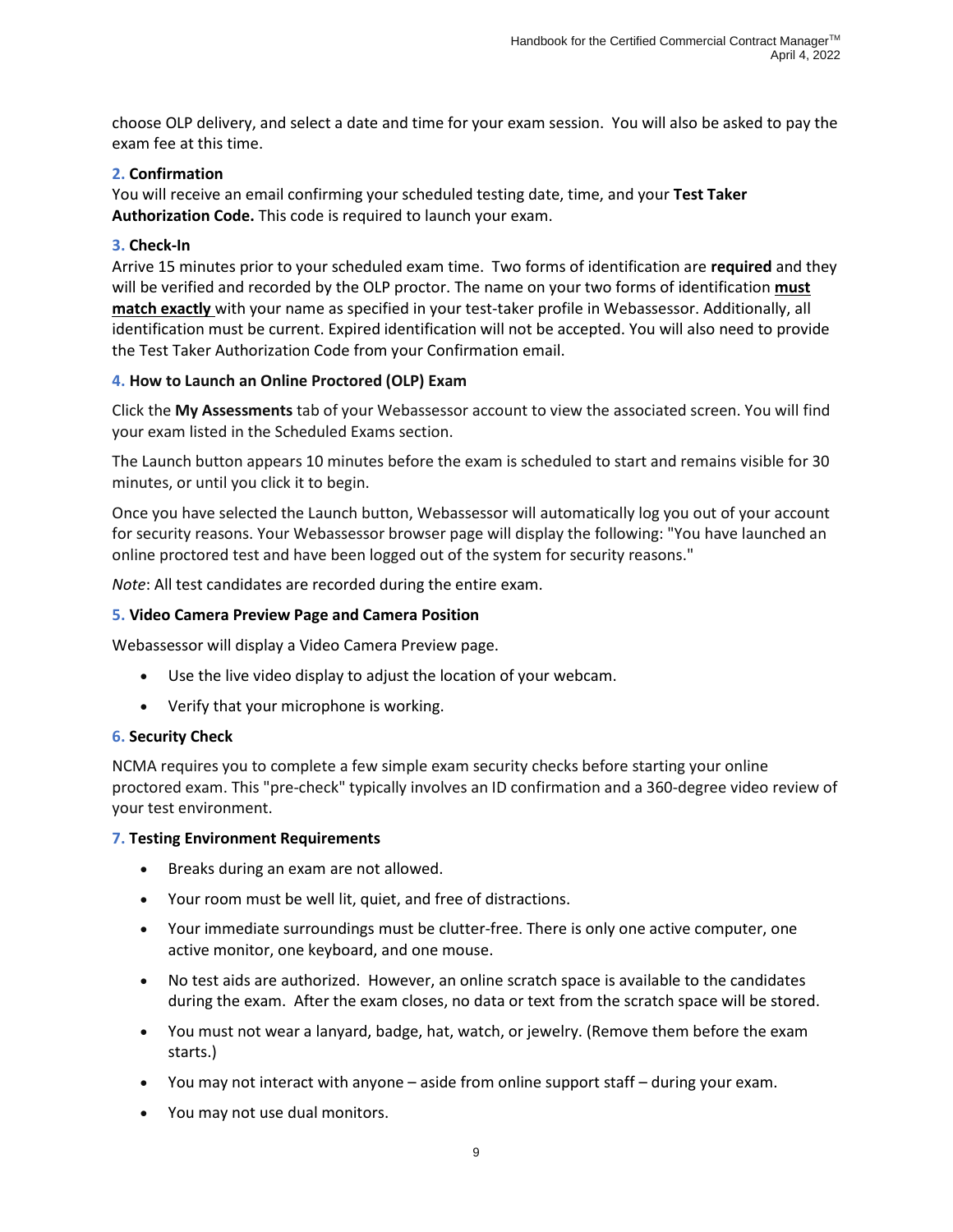choose OLP delivery, and select a date and time for your exam session. You will also be asked to pay the exam fee at this time.

#### **2. Confirmation**

You will receive an email confirming your scheduled testing date, time, and your **Test Taker Authorization Code.** This code is required to launch your exam.

#### **3. Check-In**

Arrive 15 minutes prior to your scheduled exam time. Two forms of identification are **required** and they will be verified and recorded by the OLP proctor. The name on your two forms of identification **must match exactly** with your name as specified in your test-taker profile in Webassessor. Additionally, all identification must be current. Expired identification will not be accepted. You will also need to provide the Test Taker Authorization Code from your Confirmation email.

#### **4. How to Launch an Online Proctored (OLP) Exam**

Click the **My Assessments** tab of your Webassessor account to view the associated screen. You will find your exam listed in the Scheduled Exams section.

The Launch button appears 10 minutes before the exam is scheduled to start and remains visible for 30 minutes, or until you click it to begin.

Once you have selected the Launch button, Webassessor will automatically log you out of your account for security reasons. Your Webassessor browser page will display the following: "You have launched an online proctored test and have been logged out of the system for security reasons."

*Note*: All test candidates are recorded during the entire exam.

#### **5. Video Camera Preview Page and Camera Position**

Webassessor will display a Video Camera Preview page.

- Use the live video display to adjust the location of your webcam.
- Verify that your microphone is working.

#### **6. Security Check**

NCMA requires you to complete a few simple exam security checks before starting your online proctored exam. This "pre-check" typically involves an ID confirmation and a 360-degree video review of your test environment.

#### **7. Testing Environment Requirements**

- Breaks during an exam are not allowed.
- Your room must be well lit, quiet, and free of distractions.
- Your immediate surroundings must be clutter-free. There is only one active computer, one active monitor, one keyboard, and one mouse.
- No test aids are authorized. However, an online scratch space is available to the candidates during the exam. After the exam closes, no data or text from the scratch space will be stored.
- You must not wear a lanyard, badge, hat, watch, or jewelry. (Remove them before the exam starts.)
- You may not interact with anyone aside from online support staff during your exam.
- You may not use dual monitors.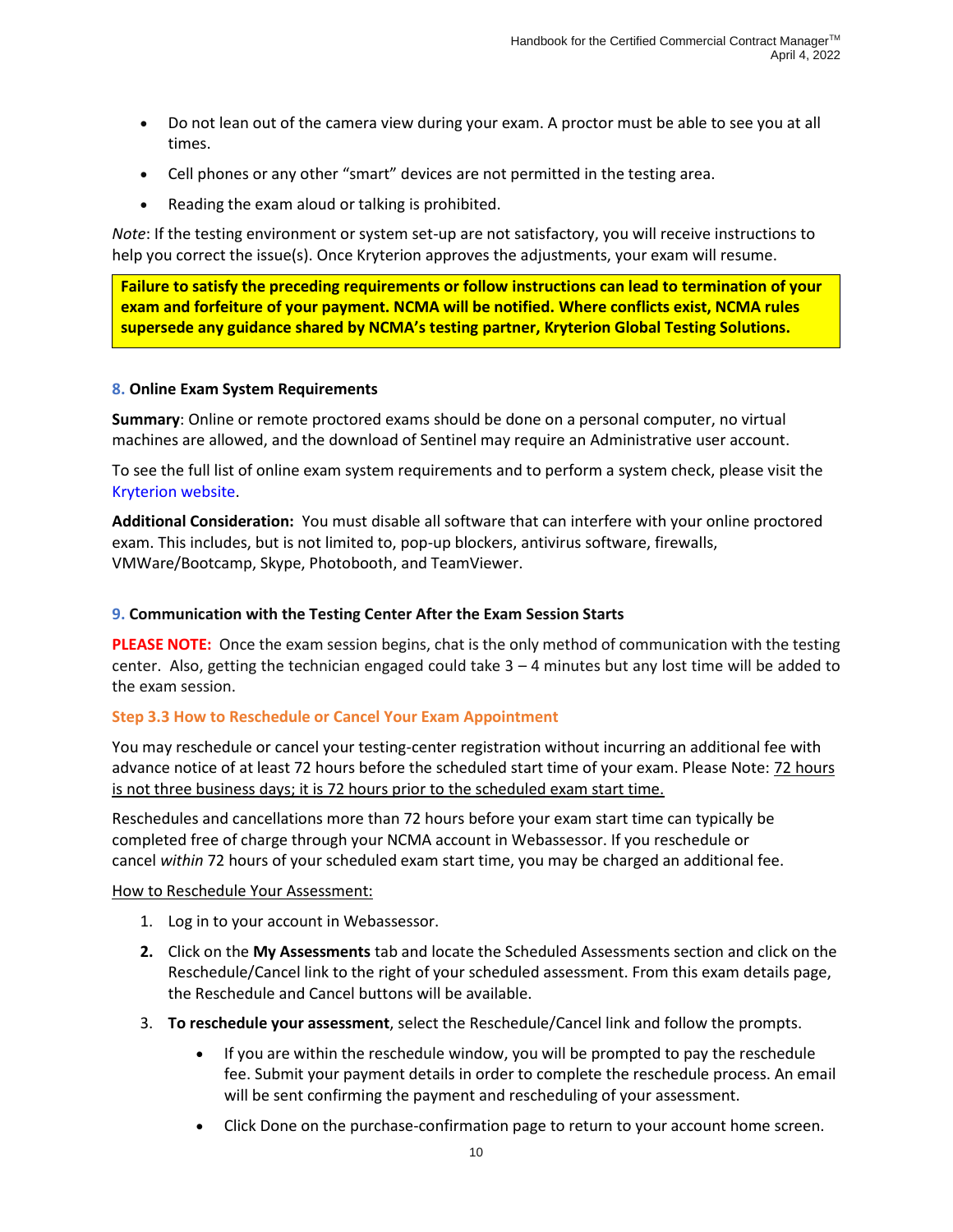- Do not lean out of the camera view during your exam. A proctor must be able to see you at all times.
- Cell phones or any other "smart" devices are not permitted in the testing area.
- Reading the exam aloud or talking is prohibited.

*Note*: If the testing environment or system set-up are not satisfactory, you will receive instructions to help you correct the issue(s). Once Kryterion approves the adjustments, your exam will resume.

**Failure to satisfy the preceding requirements or follow instructions can lead to termination of your exam and forfeiture of your payment. NCMA will be notified. Where conflicts exist, NCMA rules supersede any guidance shared by NCMA's testing partner, Kryterion Global Testing Solutions.**

#### **8. Online Exam System Requirements**

**Summary**: Online or remote proctored exams should be done on a personal computer, no virtual machines are allowed, and the download of Sentinel may require an Administrative user account.

To see the full list of online exam system requirements and to perform a system check, please visit the [Kryterion website.](https://kryterion.force.com/support/s/article/Online-Testing-Requirements?language=en_US)

**Additional Consideration:** You must disable all software that can interfere with your online proctored exam. This includes, but is not limited to, pop-up blockers, antivirus software, firewalls, VMWare/Bootcamp, Skype, Photobooth, and TeamViewer.

#### **9. Communication with the Testing Center After the Exam Session Starts**

**PLEASE NOTE:** Once the exam session begins, chat is the only method of communication with the testing center. Also, getting the technician engaged could take  $3 - 4$  minutes but any lost time will be added to the exam session.

#### **Step 3.3 How to Reschedule or Cancel Your Exam Appointment**

You may reschedule or cancel your testing-center registration without incurring an additional fee with advance notice of at least 72 hours before the scheduled start time of your exam. Please Note: 72 hours is not three business days; it is 72 hours prior to the scheduled exam start time.

Reschedules and cancellations more than 72 hours before your exam start time can typically be completed free of charge through your NCMA account in Webassessor. If you reschedule or cancel *within* 72 hours of your scheduled exam start time, you may be charged an additional fee.

#### How to Reschedule Your Assessment:

- 1. Log in to your account in Webassessor.
- **2.** Click on the **My Assessments** tab and locate the Scheduled Assessments section and click on the Reschedule/Cancel link to the right of your scheduled assessment. From this exam details page, the Reschedule and Cancel buttons will be available.
- 3. **To reschedule your assessment**, select the Reschedule/Cancel link and follow the prompts.
	- If you are within the reschedule window, you will be prompted to pay the reschedule fee. Submit your payment details in order to complete the reschedule process. An email will be sent confirming the payment and rescheduling of your assessment.
	- Click Done on the purchase-confirmation page to return to your account home screen.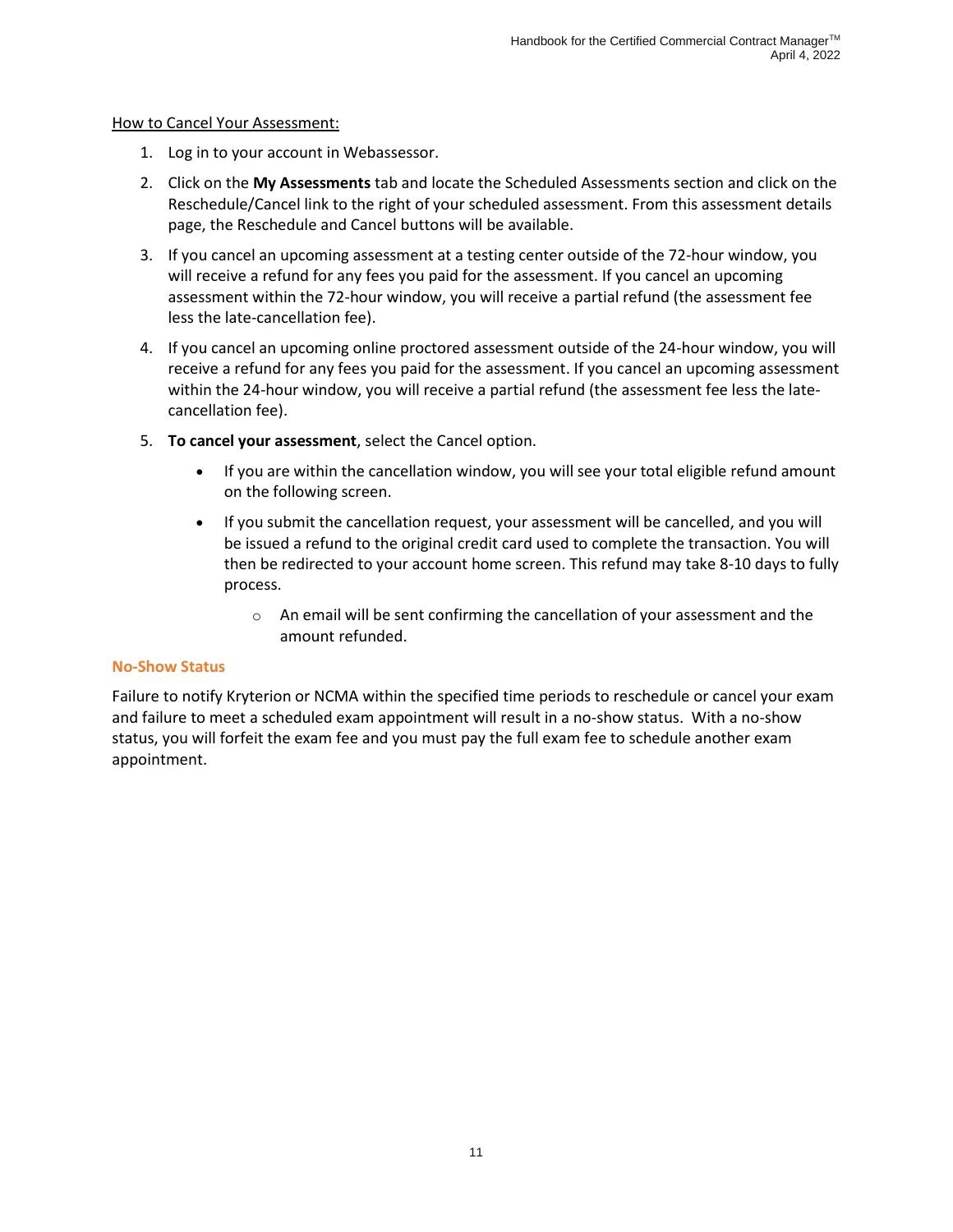#### How to Cancel Your Assessment:

- 1. Log in to your account in Webassessor.
- 2. Click on the **My Assessments** tab and locate the Scheduled Assessments section and click on the Reschedule/Cancel link to the right of your scheduled assessment. From this assessment details page, the Reschedule and Cancel buttons will be available.
- 3. If you cancel an upcoming assessment at a testing center outside of the 72-hour window, you will receive a refund for any fees you paid for the assessment. If you cancel an upcoming assessment within the 72-hour window, you will receive a partial refund (the assessment fee less the late-cancellation fee).
- 4. If you cancel an upcoming online proctored assessment outside of the 24-hour window, you will receive a refund for any fees you paid for the assessment. If you cancel an upcoming assessment within the 24-hour window, you will receive a partial refund (the assessment fee less the latecancellation fee).
- 5. **To cancel your assessment**, select the Cancel option.
	- If you are within the cancellation window, you will see your total eligible refund amount on the following screen.
	- If you submit the cancellation request, your assessment will be cancelled, and you will be issued a refund to the original credit card used to complete the transaction. You will then be redirected to your account home screen. This refund may take 8-10 days to fully process.
		- o An email will be sent confirming the cancellation of your assessment and the amount refunded.

#### **No-Show Status**

<span id="page-13-0"></span>Failure to notify Kryterion or NCMA within the specified time periods to reschedule or cancel your exam and failure to meet a scheduled exam appointment will result in a no-show status. With a no-show status, you will forfeit the exam fee and you must pay the full exam fee to schedule another exam appointment.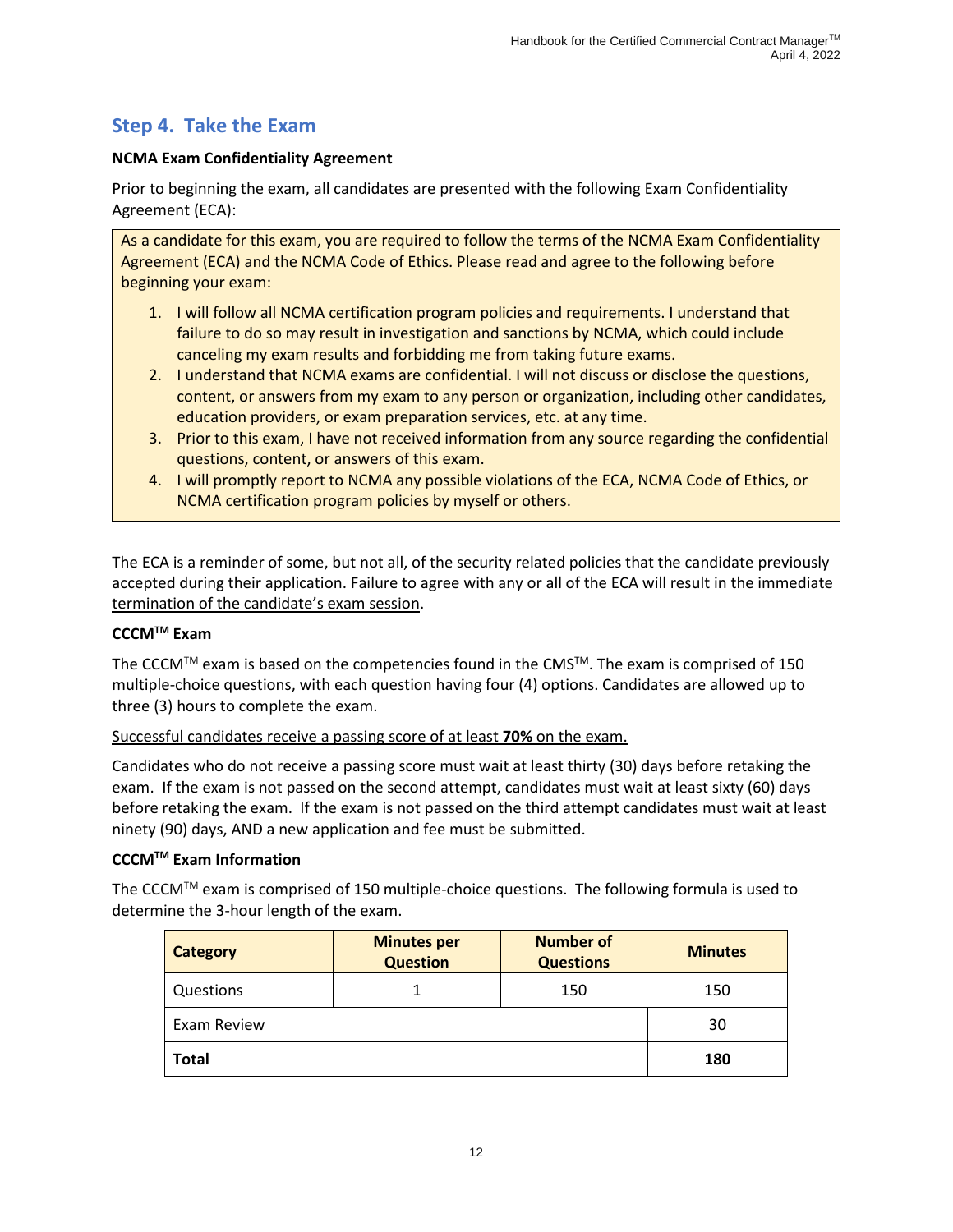# **Step 4. Take the Exam**

#### **NCMA Exam Confidentiality Agreement**

Prior to beginning the exam, all candidates are presented with the following Exam Confidentiality Agreement (ECA):

As a candidate for this exam, you are required to follow the terms of the NCMA Exam Confidentiality Agreement (ECA) and the NCMA Code of Ethics. Please read and agree to the following before beginning your exam:

- 1. I will follow all NCMA certification program policies and requirements. I understand that failure to do so may result in investigation and sanctions by NCMA, which could include canceling my exam results and forbidding me from taking future exams.
- 2. I understand that NCMA exams are confidential. I will not discuss or disclose the questions, content, or answers from my exam to any person or organization, including other candidates, education providers, or exam preparation services, etc. at any time.
- 3. Prior to this exam, I have not received information from any source regarding the confidential questions, content, or answers of this exam.
- 4. I will promptly report to NCMA any possible violations of the ECA, NCMA Code of Ethics, or NCMA certification program policies by myself or others.

The ECA is a reminder of some, but not all, of the security related policies that the candidate previously accepted during their application. Failure to agree with any or all of the ECA will result in the immediate termination of the candidate's exam session.

#### **CCCMTM Exam**

The CCCM<sup>TM</sup> exam is based on the competencies found in the CMS<sup>TM</sup>. The exam is comprised of 150 multiple-choice questions, with each question having four (4) options. Candidates are allowed up to three (3) hours to complete the exam.

Successful candidates receive a passing score of at least **70%** on the exam.

Candidates who do not receive a passing score must wait at least thirty (30) days before retaking the exam. If the exam is not passed on the second attempt, candidates must wait at least sixty (60) days before retaking the exam. If the exam is not passed on the third attempt candidates must wait at least ninety (90) days, AND a new application and fee must be submitted.

#### **CCCMTM Exam Information**

The CCCM™ exam is comprised of 150 multiple-choice questions. The following formula is used to determine the 3-hour length of the exam.

| <b>Category</b> | <b>Minutes per</b><br><b>Question</b> | <b>Number of</b><br><b>Questions</b> | <b>Minutes</b> |
|-----------------|---------------------------------------|--------------------------------------|----------------|
| Questions       |                                       | 150                                  | 150            |
| Exam Review     |                                       |                                      | 30             |
| <b>Total</b>    |                                       |                                      | 180            |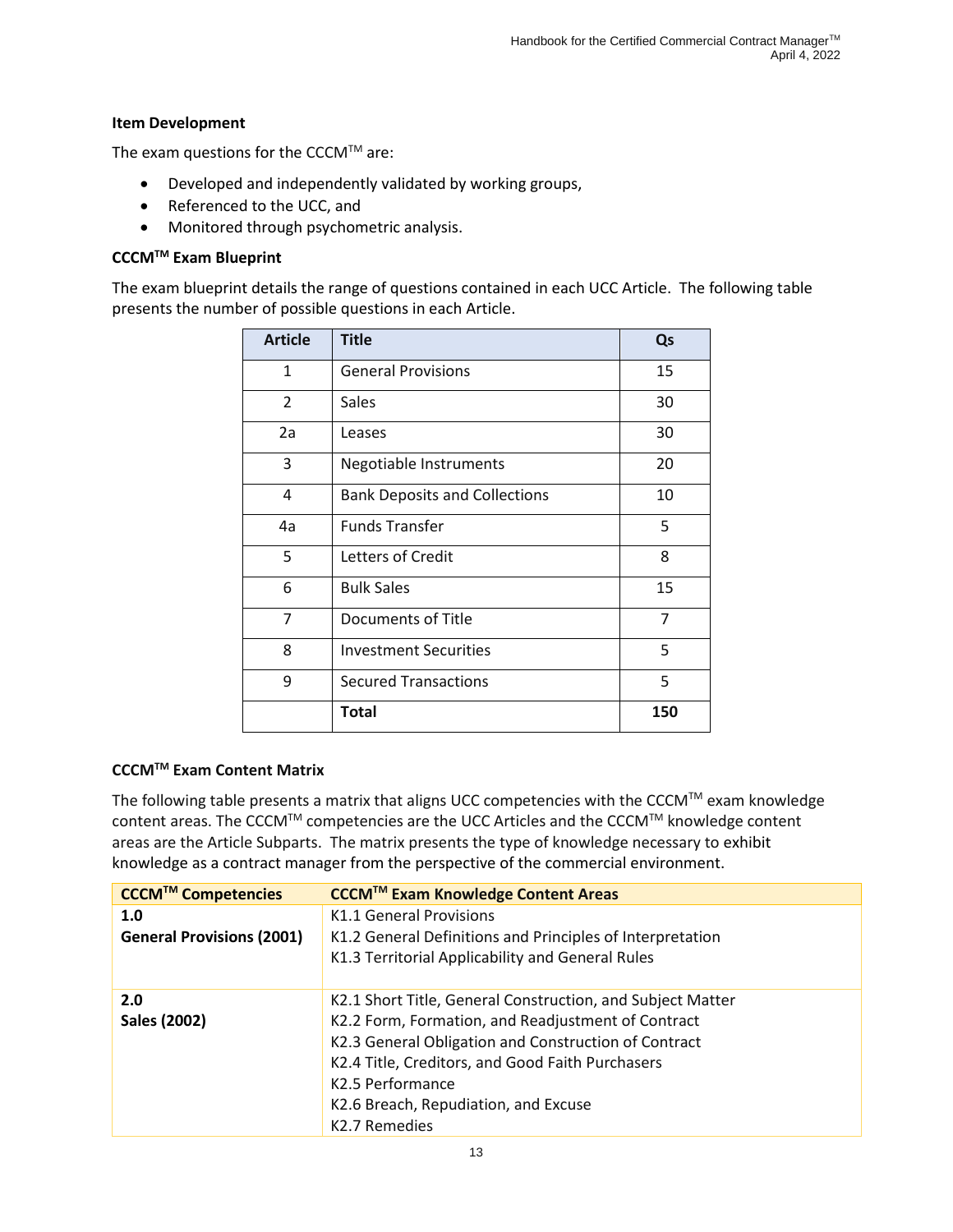#### **Item Development**

The exam questions for the CCCM $TM$  are:

- Developed and independently validated by working groups,
- Referenced to the UCC, and
- Monitored through psychometric analysis.

#### **CCCMTM Exam Blueprint**

The exam blueprint details the range of questions contained in each UCC Article. The following table presents the number of possible questions in each Article.

| <b>Article</b> | <b>Title</b>                         | Qs  |
|----------------|--------------------------------------|-----|
| $\mathbf{1}$   | <b>General Provisions</b>            | 15  |
| 2              | Sales                                | 30  |
| 2a             | Leases                               | 30  |
| 3              | <b>Negotiable Instruments</b>        | 20  |
| 4              | <b>Bank Deposits and Collections</b> | 10  |
| 4a             | <b>Funds Transfer</b>                | 5   |
| 5              | Letters of Credit                    | 8   |
| 6              | <b>Bulk Sales</b>                    | 15  |
| 7              | Documents of Title                   | 7   |
| 8              | <b>Investment Securities</b>         | 5   |
| 9              | <b>Secured Transactions</b>          | 5   |
|                | <b>Total</b>                         | 150 |

#### **CCCMTM Exam Content Matrix**

The following table presents a matrix that aligns UCC competencies with the CCCM™ exam knowledge content areas. The CCCMTM competencies are the UCC Articles and the CCCMTM knowledge content areas are the Article Subparts. The matrix presents the type of knowledge necessary to exhibit knowledge as a contract manager from the perspective of the commercial environment.

| CCCM™ Competencies               | <b>CCCM™ Exam Knowledge Content Areas</b>                  |
|----------------------------------|------------------------------------------------------------|
| 1.0                              | K1.1 General Provisions                                    |
| <b>General Provisions (2001)</b> | K1.2 General Definitions and Principles of Interpretation  |
|                                  | K1.3 Territorial Applicability and General Rules           |
|                                  |                                                            |
| 2.0                              | K2.1 Short Title, General Construction, and Subject Matter |
| Sales (2002)                     | K2.2 Form, Formation, and Readjustment of Contract         |
|                                  | K2.3 General Obligation and Construction of Contract       |
|                                  | K2.4 Title, Creditors, and Good Faith Purchasers           |
|                                  | K2.5 Performance                                           |
|                                  | K2.6 Breach, Repudiation, and Excuse                       |
|                                  | K2.7 Remedies                                              |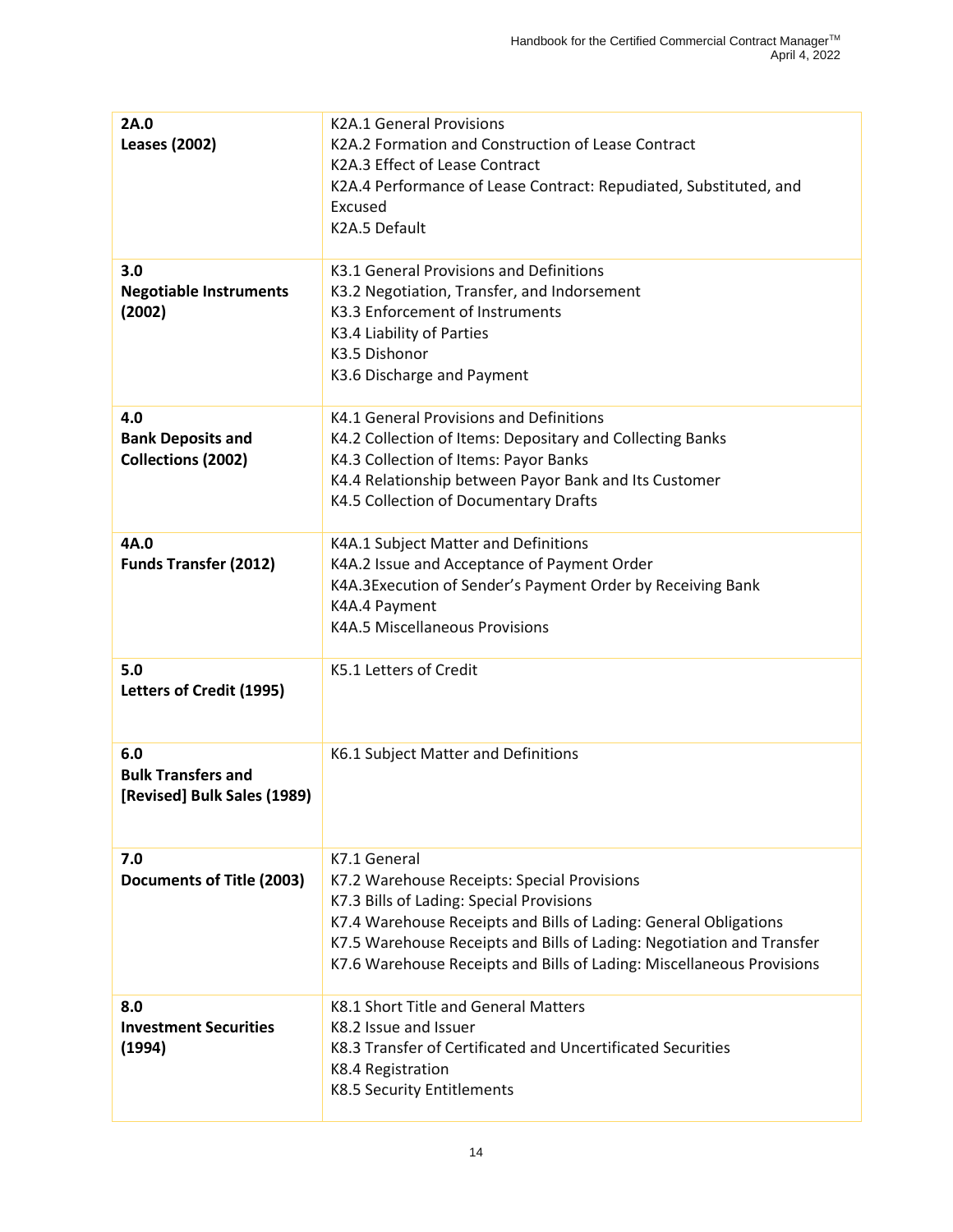| 2A.0<br><b>Leases (2002)</b>                                    | <b>K2A.1 General Provisions</b><br>K2A.2 Formation and Construction of Lease Contract<br>K2A.3 Effect of Lease Contract<br>K2A.4 Performance of Lease Contract: Repudiated, Substituted, and<br>Excused<br>K2A.5 Default                                                                                                      |
|-----------------------------------------------------------------|-------------------------------------------------------------------------------------------------------------------------------------------------------------------------------------------------------------------------------------------------------------------------------------------------------------------------------|
| 3.0<br><b>Negotiable Instruments</b><br>(2002)                  | K3.1 General Provisions and Definitions<br>K3.2 Negotiation, Transfer, and Indorsement<br>K3.3 Enforcement of Instruments<br>K3.4 Liability of Parties<br>K3.5 Dishonor<br>K3.6 Discharge and Payment                                                                                                                         |
| 4.0<br><b>Bank Deposits and</b><br><b>Collections (2002)</b>    | K4.1 General Provisions and Definitions<br>K4.2 Collection of Items: Depositary and Collecting Banks<br>K4.3 Collection of Items: Payor Banks<br>K4.4 Relationship between Payor Bank and Its Customer<br>K4.5 Collection of Documentary Drafts                                                                               |
| 4A.0<br><b>Funds Transfer (2012)</b>                            | K4A.1 Subject Matter and Definitions<br>K4A.2 Issue and Acceptance of Payment Order<br>K4A.3Execution of Sender's Payment Order by Receiving Bank<br>K4A.4 Payment<br>K4A.5 Miscellaneous Provisions                                                                                                                          |
| 5.0<br>Letters of Credit (1995)                                 | K5.1 Letters of Credit                                                                                                                                                                                                                                                                                                        |
| 6.0<br><b>Bulk Transfers and</b><br>[Revised] Bulk Sales (1989) | K6.1 Subject Matter and Definitions                                                                                                                                                                                                                                                                                           |
| 7.0<br>Documents of Title (2003)                                | K7.1 General<br>K7.2 Warehouse Receipts: Special Provisions<br>K7.3 Bills of Lading: Special Provisions<br>K7.4 Warehouse Receipts and Bills of Lading: General Obligations<br>K7.5 Warehouse Receipts and Bills of Lading: Negotiation and Transfer<br>K7.6 Warehouse Receipts and Bills of Lading: Miscellaneous Provisions |
| 8.0<br><b>Investment Securities</b><br>(1994)                   | K8.1 Short Title and General Matters<br>K8.2 Issue and Issuer<br>K8.3 Transfer of Certificated and Uncertificated Securities<br>K8.4 Registration<br>K8.5 Security Entitlements                                                                                                                                               |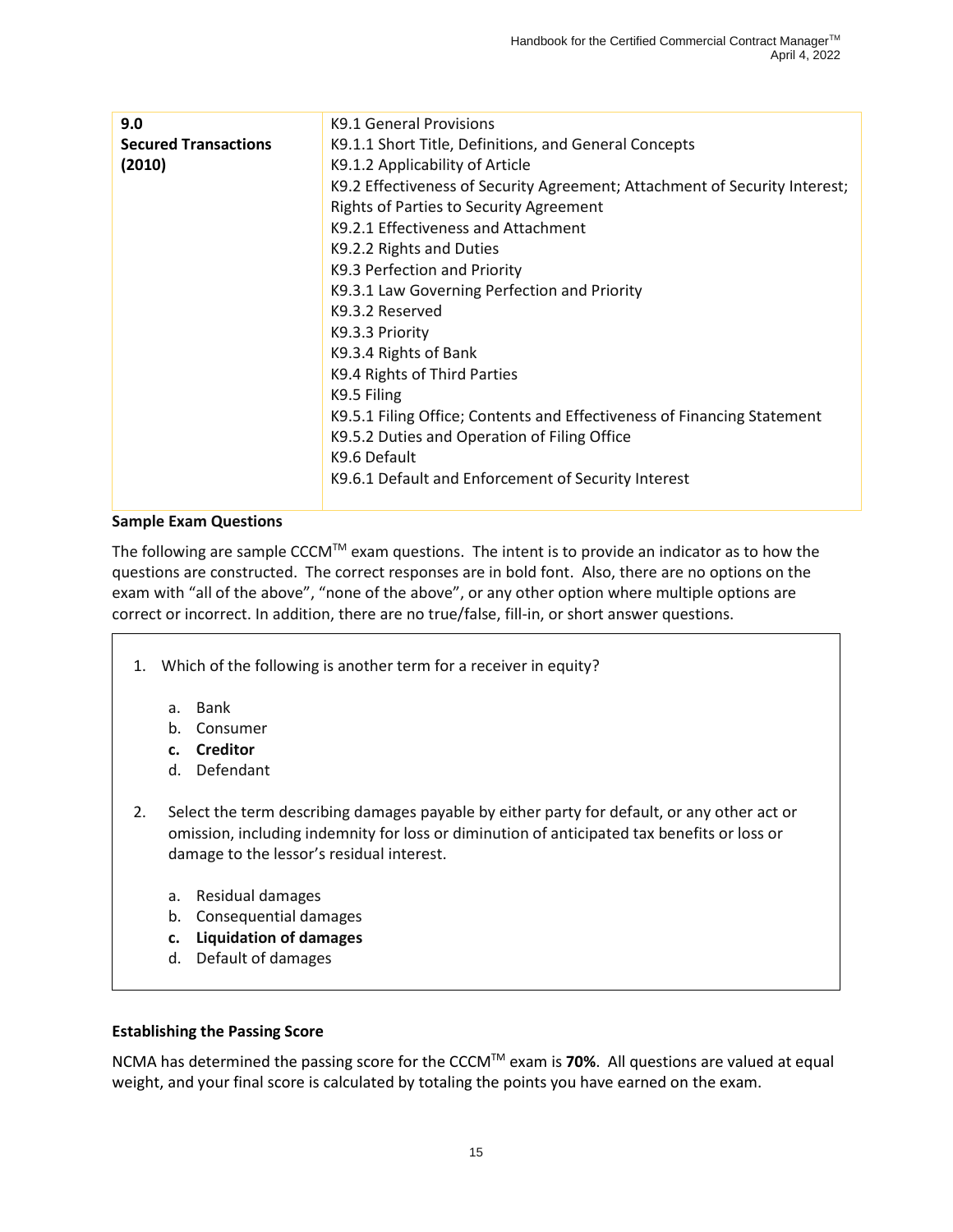| 9.0                         | K9.1 General Provisions                                                    |
|-----------------------------|----------------------------------------------------------------------------|
| <b>Secured Transactions</b> | K9.1.1 Short Title, Definitions, and General Concepts                      |
| (2010)                      | K9.1.2 Applicability of Article                                            |
|                             | K9.2 Effectiveness of Security Agreement; Attachment of Security Interest; |
|                             | Rights of Parties to Security Agreement                                    |
|                             | K9.2.1 Effectiveness and Attachment                                        |
|                             | K9.2.2 Rights and Duties                                                   |
|                             | K9.3 Perfection and Priority                                               |
|                             | K9.3.1 Law Governing Perfection and Priority                               |
|                             | K9.3.2 Reserved                                                            |
|                             | K9.3.3 Priority                                                            |
|                             | K9.3.4 Rights of Bank                                                      |
|                             | K9.4 Rights of Third Parties                                               |
|                             | K9.5 Filing                                                                |
|                             | K9.5.1 Filing Office; Contents and Effectiveness of Financing Statement    |
|                             | K9.5.2 Duties and Operation of Filing Office                               |
|                             | K9.6 Default                                                               |
|                             | K9.6.1 Default and Enforcement of Security Interest                        |
|                             |                                                                            |

#### **Sample Exam Questions**

The following are sample CCCM<sup>TM</sup> exam questions. The intent is to provide an indicator as to how the questions are constructed. The correct responses are in bold font. Also, there are no options on the exam with "all of the above", "none of the above", or any other option where multiple options are correct or incorrect. In addition, there are no true/false, fill-in, or short answer questions.

- 1. Which of the following is another term for a receiver in equity?
	- a. Bank
	- b. Consumer
	- **c. Creditor**
	- d. Defendant
- 2. Select the term describing damages payable by either party for default, or any other act or omission, including indemnity for loss or diminution of anticipated tax benefits or loss or damage to the lessor's residual interest.
	- a. Residual damages
	- b. Consequential damages
	- **c. Liquidation of damages**
	- d. Default of damages

#### **Establishing the Passing Score**

NCMA has determined the passing score for the CCCMTM exam is **70%**. All questions are valued at equal weight, and your final score is calculated by totaling the points you have earned on the exam.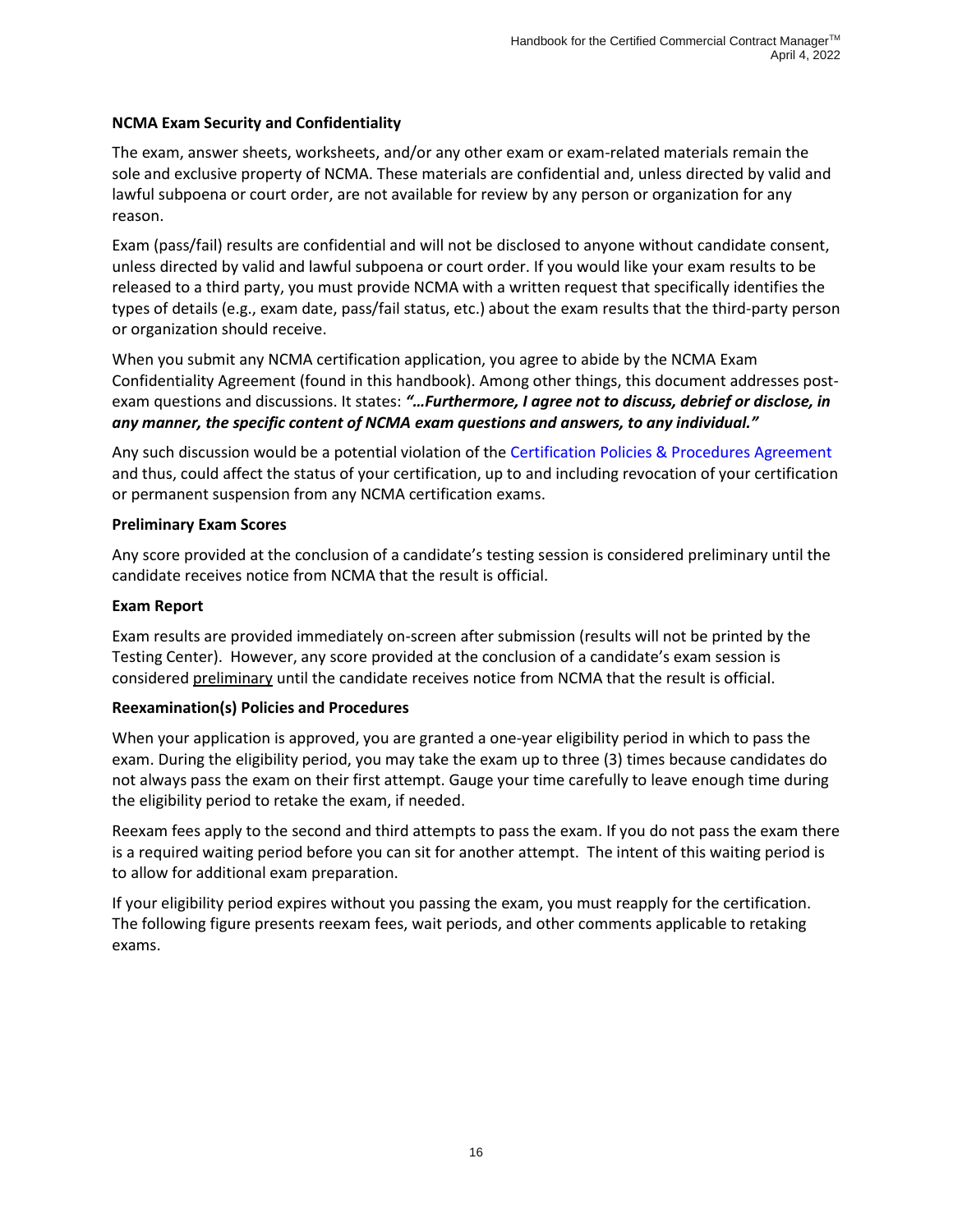#### **NCMA Exam Security and Confidentiality**

The exam, answer sheets, worksheets, and/or any other exam or exam-related materials remain the sole and exclusive property of NCMA. These materials are confidential and, unless directed by valid and lawful subpoena or court order, are not available for review by any person or organization for any reason.

Exam (pass/fail) results are confidential and will not be disclosed to anyone without candidate consent, unless directed by valid and lawful subpoena or court order. If you would like your exam results to be released to a third party, you must provide NCMA with a written request that specifically identifies the types of details (e.g., exam date, pass/fail status, etc.) about the exam results that the third-party person or organization should receive.

When you submit any NCMA certification application, you agree to abide by the NCMA Exam Confidentiality Agreement (found in this handbook). Among other things, this document addresses postexam questions and discussions. It states: *"…Furthermore, I agree not to discuss, debrief or disclose, in any manner, the specific content of NCMA exam questions and answers, to any individual."*

Any such discussion would be a potential violation of the [Certification Policies & Procedures](https://www.ncmahq.org/Web/Certification/Certification-Policies-and-Procedures-Agreement/Web/Certification/Certification-Policies-and-Procedures-Agreement.aspx?hkey=aa46c8c3-7eb0-40b3-9175-9b654b87c7b0) Agreement and thus, could affect the status of your certification, up to and including revocation of your certification or permanent suspension from any NCMA certification exams.

#### **Preliminary Exam Scores**

Any score provided at the conclusion of a candidate's testing session is considered preliminary until the candidate receives notice from NCMA that the result is official.

#### **Exam Report**

Exam results are provided immediately on-screen after submission (results will not be printed by the Testing Center). However, any score provided at the conclusion of a candidate's exam session is considered preliminary until the candidate receives notice from NCMA that the result is official.

#### **Reexamination(s) Policies and Procedures**

When your application is approved, you are granted a one-year eligibility period in which to pass the exam. During the eligibility period, you may take the exam up to three (3) times because candidates do not always pass the exam on their first attempt. Gauge your time carefully to leave enough time during the eligibility period to retake the exam, if needed.

Reexam fees apply to the second and third attempts to pass the exam. If you do not pass the exam there is a required waiting period before you can sit for another attempt. The intent of this waiting period is to allow for additional exam preparation.

If your eligibility period expires without you passing the exam, you must reapply for the certification. The following figure presents reexam fees, wait periods, and other comments applicable to retaking exams.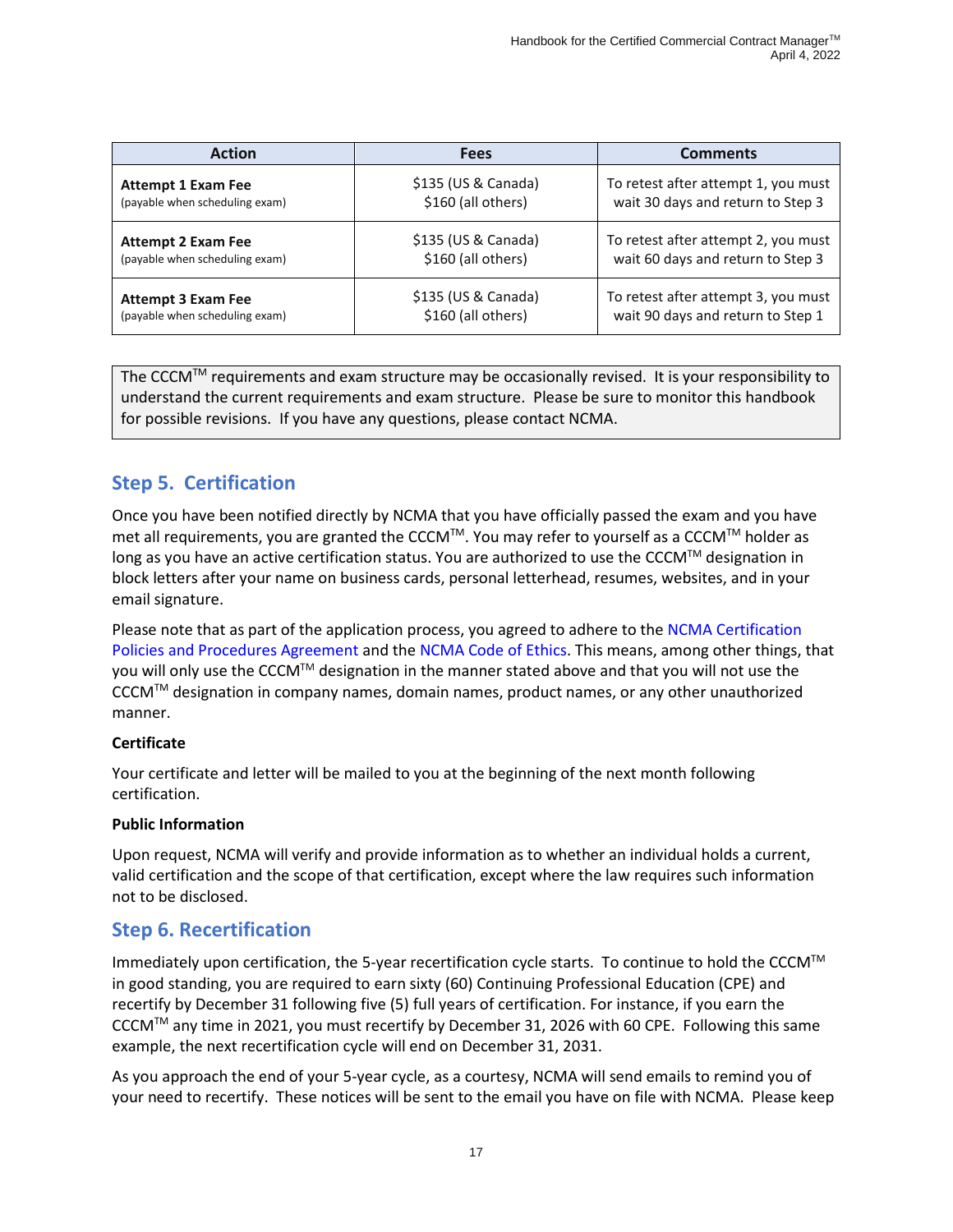| <b>Action</b>                  | <b>Fees</b>         | <b>Comments</b>                     |
|--------------------------------|---------------------|-------------------------------------|
| <b>Attempt 1 Exam Fee</b>      | \$135 (US & Canada) | To retest after attempt 1, you must |
| (payable when scheduling exam) | \$160 (all others)  | wait 30 days and return to Step 3   |
| <b>Attempt 2 Exam Fee</b>      | \$135 (US & Canada) | To retest after attempt 2, you must |
| (payable when scheduling exam) | \$160 (all others)  | wait 60 days and return to Step 3   |
| <b>Attempt 3 Exam Fee</b>      | \$135 (US & Canada) | To retest after attempt 3, you must |
| (payable when scheduling exam) | \$160 (all others)  | wait 90 days and return to Step 1   |

The CCCM™ requirements and exam structure may be occasionally revised. It is your responsibility to understand the current requirements and exam structure. Please be sure to monitor this handbook for possible revisions. If you have any questions, please contact NCMA.

# <span id="page-19-0"></span>**Step 5. Certification**

Once you have been notified directly by NCMA that you have officially passed the exam and you have met all requirements, you are granted the CCCM™. You may refer to yourself as a CCCM™ holder as long as you have an active certification status. You are authorized to use the CCCM™ designation in block letters after your name on business cards, personal letterhead, resumes, websites, and in your email signature.

Please note that as part of the application process, you agreed to adhere to the [NCMA Certification](https://www.ncmahq.org/Web/Certification/Certification-Policies-and-Procedures-Agreement/Web/Certification/Certification-Policies-and-Procedures-Agreement.aspx?hkey=aa46c8c3-7eb0-40b3-9175-9b654b87c7b0)  [Policies and Procedures](https://www.ncmahq.org/Web/Certification/Certification-Policies-and-Procedures-Agreement/Web/Certification/Certification-Policies-and-Procedures-Agreement.aspx?hkey=aa46c8c3-7eb0-40b3-9175-9b654b87c7b0) Agreement and th[e NCMA Code of Ethics.](https://www.ncmahq.org/Web/About/Leadership/Code-of-Ethics/Web/About/Leadership/Code-of-Ethics.aspx?hkey=b4fda743-1ea3-428d-a139-a51be5994134) This means, among other things, that you will only use the CCCM™ designation in the manner stated above and that you will not use the CCCM™ designation in company names, domain names, product names, or any other unauthorized manner.

#### **Certificate**

Your certificate and letter will be mailed to you at the beginning of the next month following certification.

#### **Public Information**

Upon request, NCMA will verify and provide information as to whether an individual holds a current, valid certification and the scope of that certification, except where the law requires such information not to be disclosed.

## <span id="page-19-1"></span>**Step 6. Recertification**

Immediately upon certification, the 5-year recertification cycle starts. To continue to hold the CCCM™ in good standing, you are required to earn sixty (60) Continuing Professional Education (CPE) and recertify by December 31 following five (5) full years of certification. For instance, if you earn the CCCMTM any time in 2021, you must recertify by December 31, 2026 with 60 CPE. Following this same example, the next recertification cycle will end on December 31, 2031.

As you approach the end of your 5-year cycle, as a courtesy, NCMA will send emails to remind you of your need to recertify. These notices will be sent to the email you have on file with NCMA. Please keep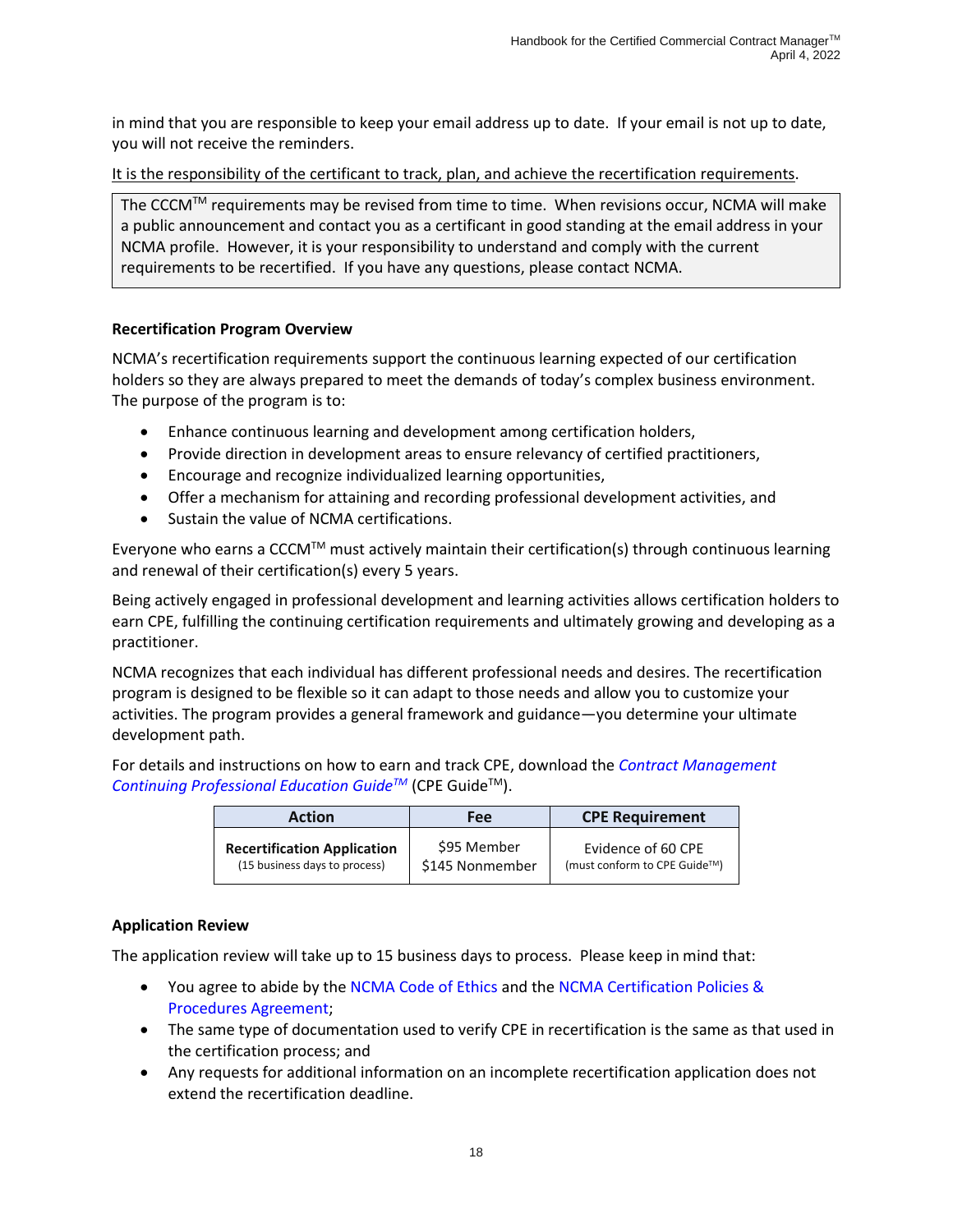in mind that you are responsible to keep your email address up to date. If your email is not up to date, you will not receive the reminders.

It is the responsibility of the certificant to track, plan, and achieve the recertification requirements.

The CCCM<sup>TM</sup> requirements may be revised from time to time. When revisions occur, NCMA will make a public announcement and contact you as a certificant in good standing at the email address in your NCMA profile. However, it is your responsibility to understand and comply with the current requirements to be recertified. If you have any questions, please contact NCMA.

#### **Recertification Program Overview**

NCMA's recertification requirements support the continuous learning expected of our certification holders so they are always prepared to meet the demands of today's complex business environment. The purpose of the program is to:

- Enhance continuous learning and development among certification holders,
- Provide direction in development areas to ensure relevancy of certified practitioners,
- Encourage and recognize individualized learning opportunities,
- Offer a mechanism for attaining and recording professional development activities, and
- Sustain the value of NCMA certifications.

Everyone who earns a CCCM™ must actively maintain their certification(s) through continuous learning and renewal of their certification(s) every 5 years.

Being actively engaged in professional development and learning activities allows certification holders to earn CPE, fulfilling the continuing certification requirements and ultimately growing and developing as a practitioner.

NCMA recognizes that each individual has different professional needs and desires. The recertification program is designed to be flexible so it can adapt to those needs and allow you to customize your activities. The program provides a general framework and guidance—you determine your ultimate development path.

For details and instructions on how to earn and track CPE, download the *[Contract Management](https://www.ncmahq.org/docs/default-source/standards-certification-files/cpeguide.pdf?sfvrsn=5899d5d3_2)  [Continuing Professional Education Guide](https://www.ncmahq.org/docs/default-source/standards-certification-files/cpeguide.pdf?sfvrsn=5899d5d3_2)<sup>™</sup> (CPE Guide<sup>™)</sup>.* 

| <b>Action</b>                      | Fee             | <b>CPE Requirement</b>       |
|------------------------------------|-----------------|------------------------------|
| <b>Recertification Application</b> | \$95 Member     | Evidence of 60 CPE           |
| (15 business days to process)      | \$145 Nonmember | (must conform to CPE Guide™) |

#### **Application Review**

The application review will take up to 15 business days to process. Please keep in mind that:

- You agree to abide by the [NCMA Code of Ethics](https://www.ncmahq.org/Web/About/Leadership/Code-of-Ethics/Web/About/Leadership/Code-of-Ethics.aspx?hkey=b4fda743-1ea3-428d-a139-a51be5994134) and the [NCMA Certification Policies &](https://www.ncmahq.org/Web/Certification/Certification-Policies-and-Procedures-Agreement/Web/Certification/Certification-Policies-and-Procedures-Agreement.aspx?hkey=aa46c8c3-7eb0-40b3-9175-9b654b87c7b0)  [Procedures Agreement;](https://www.ncmahq.org/Web/Certification/Certification-Policies-and-Procedures-Agreement/Web/Certification/Certification-Policies-and-Procedures-Agreement.aspx?hkey=aa46c8c3-7eb0-40b3-9175-9b654b87c7b0)
- The same type of documentation used to verify CPE in recertification is the same as that used in the certification process; and
- Any requests for additional information on an incomplete recertification application does not extend the recertification deadline.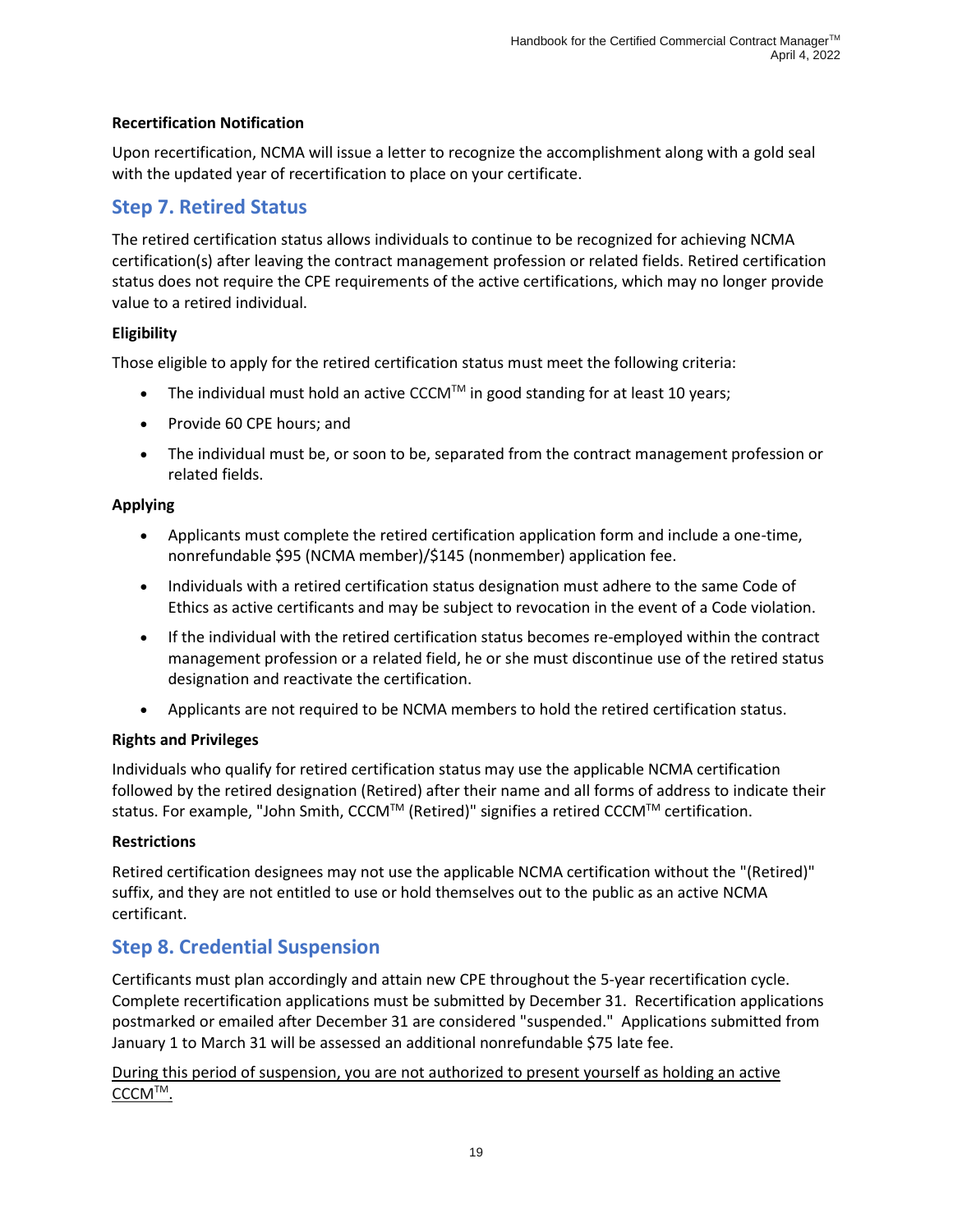#### **Recertification Notification**

Upon recertification, NCMA will issue a letter to recognize the accomplishment along with a gold seal with the updated year of recertification to place on your certificate.

# <span id="page-21-0"></span>**Step 7. Retired Status**

The retired certification status allows individuals to continue to be recognized for achieving NCMA certification(s) after leaving the contract management profession or related fields. Retired certification status does not require the CPE requirements of the active certifications, which may no longer provide value to a retired individual.

#### **Eligibility**

Those eligible to apply for the retired certification status must meet the following criteria:

- The individual must hold an active CCCM<sup>TM</sup> in good standing for at least 10 years;
- Provide 60 CPE hours; and
- The individual must be, or soon to be, separated from the contract management profession or related fields.

#### **Applying**

- Applicants must complete the retired certification application form and include a one-time, nonrefundable \$95 (NCMA member)/\$145 (nonmember) application fee.
- Individuals with a retired certification status designation must adhere to the same [Code of](https://www.ncmahq.org/about/leadership/code-of-ethics)  [Ethics](https://www.ncmahq.org/about/leadership/code-of-ethics) as active certificants and may be subject to revocation in the event of a Code violation.
- If the individual with the retired certification status becomes re-employed within the contract management profession or a related field, he or she must discontinue use of the retired status designation and reactivate the certification.
- Applicants are not required to be NCMA members to hold the retired certification status.

#### **Rights and Privileges**

Individuals who qualify for retired certification status may use the applicable NCMA certification followed by the retired designation (Retired) after their name and all forms of address to indicate their status. For example, "John Smith, CCCM™ (Retired)" signifies a retired CCCM™ certification.

#### **Restrictions**

Retired certification designees may not use the applicable NCMA certification without the "(Retired)" suffix, and they are not entitled to use or hold themselves out to the public as an active NCMA certificant.

# <span id="page-21-1"></span>**Step 8. Credential Suspension**

Certificants must plan accordingly and attain new CPE throughout the 5-year recertification cycle. Complete recertification applications must be submitted by December 31. Recertification applications postmarked or emailed after December 31 are considered "suspended." Applications submitted from January 1 to March 31 will be assessed an additional nonrefundable \$75 late fee.

During this period of suspension, you are not authorized to present yourself as holding an active CCCMTM.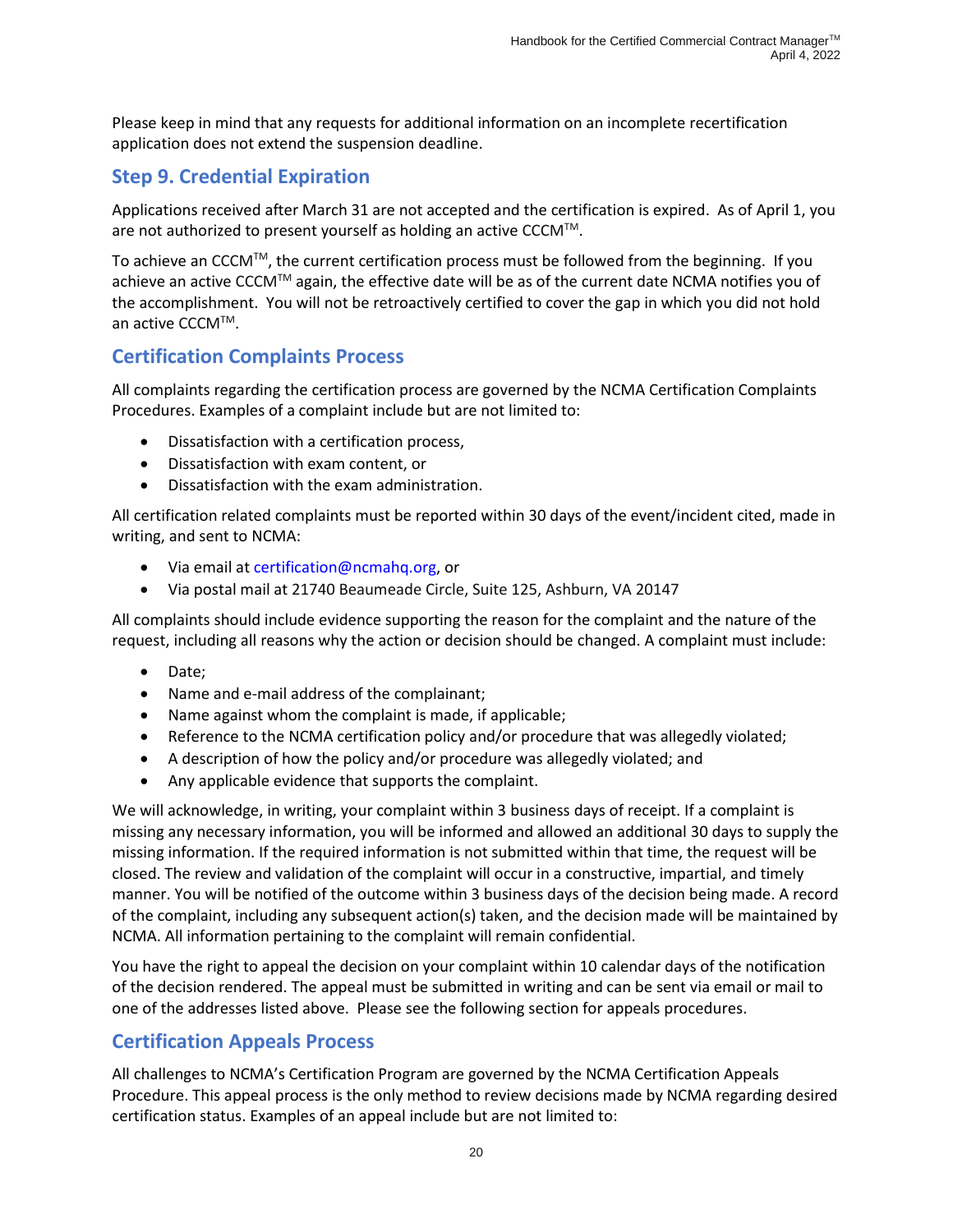Please keep in mind that any requests for additional information on an incomplete recertification application does not extend the suspension deadline.

# <span id="page-22-0"></span>**Step 9. Credential Expiration**

Applications received after March 31 are not accepted and the certification is expired. As of April 1, you are not authorized to present yourself as holding an active CCCM™.

To achieve an CCCM<sup>TM</sup>, the current certification process must be followed from the beginning. If you achieve an active CCCM™ again, the effective date will be as of the current date NCMA notifies you of the accomplishment. You will not be retroactively certified to cover the gap in which you did not hold an active CCCM™.

# <span id="page-22-1"></span>**Certification Complaints Process**

All complaints regarding the certification process are governed by the NCMA Certification Complaints Procedures. Examples of a complaint include but are not limited to:

- Dissatisfaction with a certification process,
- Dissatisfaction with exam content, or
- Dissatisfaction with the exam administration.

All certification related complaints must be reported within 30 days of the event/incident cited, made in writing, and sent to NCMA:

- Via email at [certification@ncmahq.org,](mailto:certification@ncmahq.org) or
- Via postal mail at 21740 Beaumeade Circle, Suite 125, Ashburn, VA 20147

All complaints should include evidence supporting the reason for the complaint and the nature of the request, including all reasons why the action or decision should be changed. A complaint must include:

- Date;
- Name and e-mail address of the complainant;
- Name against whom the complaint is made, if applicable;
- Reference to the NCMA certification policy and/or procedure that was allegedly violated;
- A description of how the policy and/or procedure was allegedly violated; and
- Any applicable evidence that supports the complaint.

We will acknowledge, in writing, your complaint within 3 business days of receipt. If a complaint is missing any necessary information, you will be informed and allowed an additional 30 days to supply the missing information. If the required information is not submitted within that time, the request will be closed. The review and validation of the complaint will occur in a constructive, impartial, and timely manner. You will be notified of the outcome within 3 business days of the decision being made. A record of the complaint, including any subsequent action(s) taken, and the decision made will be maintained by NCMA. All information pertaining to the complaint will remain confidential.

You have the right to appeal the decision on your complaint within 10 calendar days of the notification of the decision rendered. The appeal must be submitted in writing and can be sent via email or mail to one of the addresses listed above. Please see the following section for appeals procedures.

# <span id="page-22-2"></span>**Certification Appeals Process**

All challenges to NCMA's Certification Program are governed by the NCMA Certification Appeals Procedure. This appeal process is the only method to review decisions made by NCMA regarding desired certification status. Examples of an appeal include but are not limited to: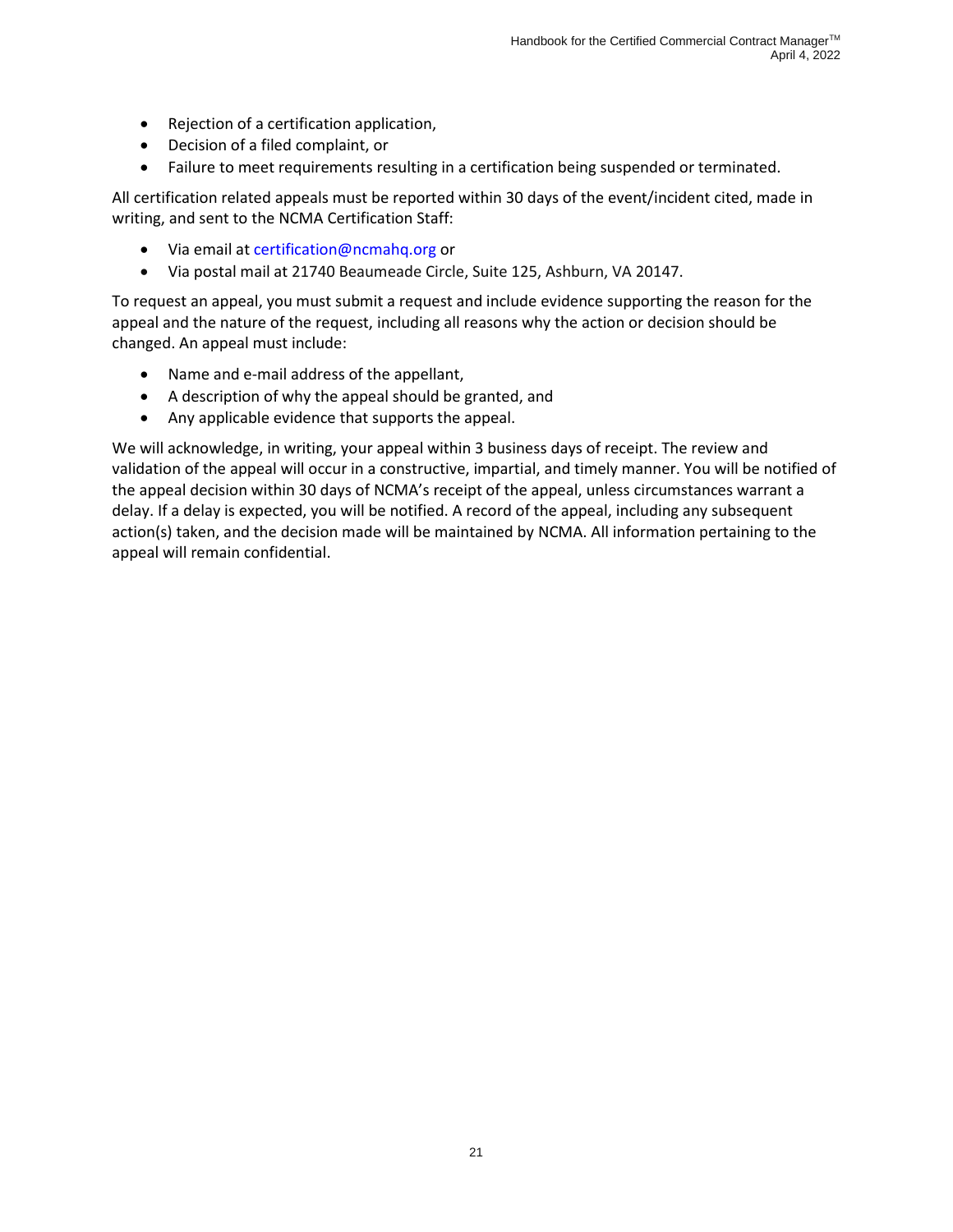- Rejection of a certification application,
- Decision of a filed complaint, or
- Failure to meet requirements resulting in a certification being suspended or terminated.

All certification related appeals must be reported within 30 days of the event/incident cited, made in writing, and sent to the NCMA Certification Staff:

- Via email at [certification@ncmahq.org](mailto:certification@ncmahq.org) or
- Via postal mail at 21740 Beaumeade Circle, Suite 125, Ashburn, VA 20147.

To request an appeal, you must submit a request and include evidence supporting the reason for the appeal and the nature of the request, including all reasons why the action or decision should be changed. An appeal must include:

- Name and e-mail address of the appellant,
- A description of why the appeal should be granted, and
- Any applicable evidence that supports the appeal.

We will acknowledge, in writing, your appeal within 3 business days of receipt. The review and validation of the appeal will occur in a constructive, impartial, and timely manner. You will be notified of the appeal decision within 30 days of NCMA's receipt of the appeal, unless circumstances warrant a delay. If a delay is expected, you will be notified. A record of the appeal, including any subsequent action(s) taken, and the decision made will be maintained by NCMA. All information pertaining to the appeal will remain confidential.